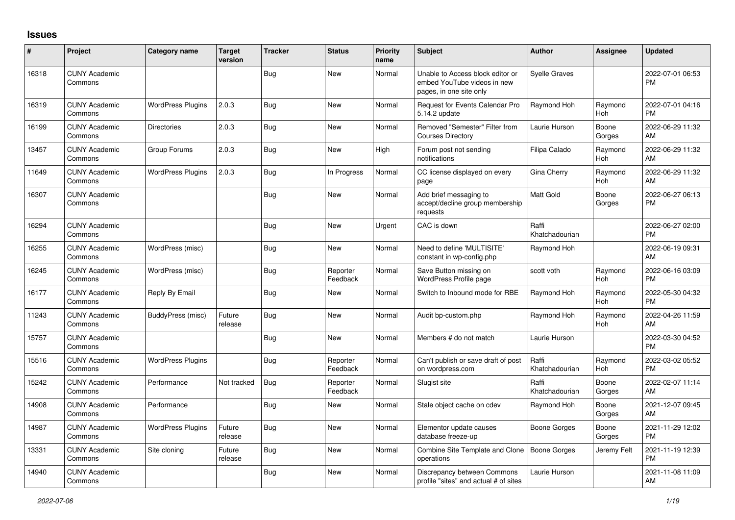## **Issues**

| #     | Project                         | <b>Category name</b>     | <b>Target</b><br>version | <b>Tracker</b> | <b>Status</b>        | <b>Priority</b><br>name | <b>Subject</b>                                                                             | Author                  | <b>Assignee</b> | <b>Updated</b>                |
|-------|---------------------------------|--------------------------|--------------------------|----------------|----------------------|-------------------------|--------------------------------------------------------------------------------------------|-------------------------|-----------------|-------------------------------|
| 16318 | <b>CUNY Academic</b><br>Commons |                          |                          | Bug            | New                  | Normal                  | Unable to Access block editor or<br>embed YouTube videos in new<br>pages, in one site only | <b>Syelle Graves</b>    |                 | 2022-07-01 06:53<br><b>PM</b> |
| 16319 | <b>CUNY Academic</b><br>Commons | <b>WordPress Plugins</b> | 2.0.3                    | <b>Bug</b>     | New                  | Normal                  | <b>Request for Events Calendar Pro</b><br>5.14.2 update                                    | Raymond Hoh             | Raymond<br>Hoh  | 2022-07-01 04:16<br><b>PM</b> |
| 16199 | <b>CUNY Academic</b><br>Commons | <b>Directories</b>       | 2.0.3                    | <b>Bug</b>     | <b>New</b>           | Normal                  | Removed "Semester" Filter from<br><b>Courses Directory</b>                                 | Laurie Hurson           | Boone<br>Gorges | 2022-06-29 11:32<br>AM        |
| 13457 | <b>CUNY Academic</b><br>Commons | Group Forums             | 2.0.3                    | <b>Bug</b>     | <b>New</b>           | High                    | Forum post not sending<br>notifications                                                    | Filipa Calado           | Raymond<br>Hoh  | 2022-06-29 11:32<br>AM        |
| 11649 | <b>CUNY Academic</b><br>Commons | <b>WordPress Plugins</b> | 2.0.3                    | Bug            | In Progress          | Normal                  | CC license displayed on every<br>page                                                      | Gina Cherry             | Raymond<br>Hoh  | 2022-06-29 11:32<br>AM        |
| 16307 | <b>CUNY Academic</b><br>Commons |                          |                          | <b>Bug</b>     | New                  | Normal                  | Add brief messaging to<br>accept/decline group membership<br>requests                      | <b>Matt Gold</b>        | Boone<br>Gorges | 2022-06-27 06:13<br><b>PM</b> |
| 16294 | <b>CUNY Academic</b><br>Commons |                          |                          | Bug            | New                  | Urgent                  | CAC is down                                                                                | Raffi<br>Khatchadourian |                 | 2022-06-27 02:00<br><b>PM</b> |
| 16255 | <b>CUNY Academic</b><br>Commons | WordPress (misc)         |                          | Bug            | New                  | Normal                  | Need to define 'MULTISITE'<br>constant in wp-config.php                                    | Raymond Hoh             |                 | 2022-06-19 09:31<br>AM        |
| 16245 | <b>CUNY Academic</b><br>Commons | WordPress (misc)         |                          | <b>Bug</b>     | Reporter<br>Feedback | Normal                  | Save Button missing on<br>WordPress Profile page                                           | scott voth              | Raymond<br>Hoh  | 2022-06-16 03:09<br><b>PM</b> |
| 16177 | <b>CUNY Academic</b><br>Commons | Reply By Email           |                          | Bug            | <b>New</b>           | Normal                  | Switch to Inbound mode for RBE                                                             | Raymond Hoh             | Raymond<br>Hoh  | 2022-05-30 04:32<br><b>PM</b> |
| 11243 | <b>CUNY Academic</b><br>Commons | BuddyPress (misc)        | Future<br>release        | <b>Bug</b>     | <b>New</b>           | Normal                  | Audit bp-custom.php                                                                        | Raymond Hoh             | Raymond<br>Hoh  | 2022-04-26 11:59<br>AM        |
| 15757 | <b>CUNY Academic</b><br>Commons |                          |                          | <b>Bug</b>     | New                  | Normal                  | Members # do not match                                                                     | Laurie Hurson           |                 | 2022-03-30 04:52<br><b>PM</b> |
| 15516 | <b>CUNY Academic</b><br>Commons | <b>WordPress Plugins</b> |                          | <b>Bug</b>     | Reporter<br>Feedback | Normal                  | Can't publish or save draft of post<br>on wordpress.com                                    | Raffi<br>Khatchadourian | Raymond<br>Hoh  | 2022-03-02 05:52<br><b>PM</b> |
| 15242 | <b>CUNY Academic</b><br>Commons | Performance              | Not tracked              | Bug            | Reporter<br>Feedback | Normal                  | Slugist site                                                                               | Raffi<br>Khatchadourian | Boone<br>Gorges | 2022-02-07 11:14<br>AM        |
| 14908 | <b>CUNY Academic</b><br>Commons | Performance              |                          | Bug            | <b>New</b>           | Normal                  | Stale object cache on cdev                                                                 | Raymond Hoh             | Boone<br>Gorges | 2021-12-07 09:45<br>AM        |
| 14987 | <b>CUNY Academic</b><br>Commons | <b>WordPress Plugins</b> | Future<br>release        | Bug            | <b>New</b>           | Normal                  | Elementor update causes<br>database freeze-up                                              | Boone Gorges            | Boone<br>Gorges | 2021-11-29 12:02<br><b>PM</b> |
| 13331 | <b>CUNY Academic</b><br>Commons | Site cloning             | Future<br>release        | Bug            | New                  | Normal                  | Combine Site Template and Clone<br>operations                                              | <b>Boone Gorges</b>     | Jeremy Felt     | 2021-11-19 12:39<br><b>PM</b> |
| 14940 | <b>CUNY Academic</b><br>Commons |                          |                          | <b>Bug</b>     | <b>New</b>           | Normal                  | Discrepancy between Commons<br>profile "sites" and actual # of sites                       | Laurie Hurson           |                 | 2021-11-08 11:09<br>AM        |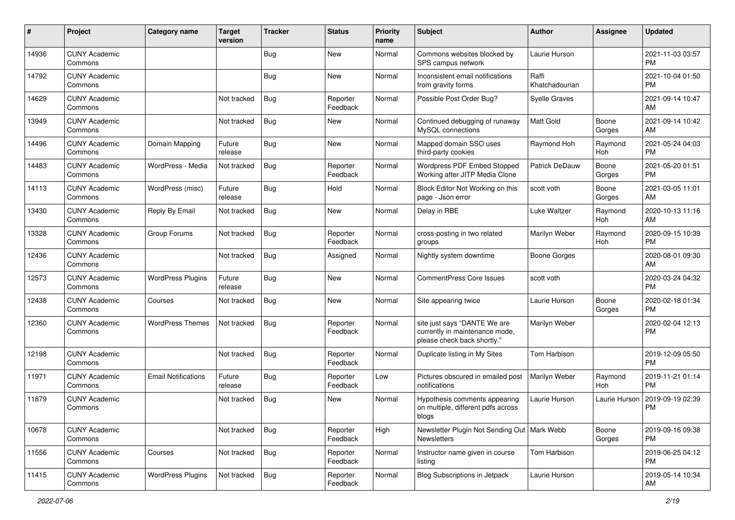| #     | Project                         | <b>Category name</b>       | <b>Target</b><br>version | <b>Tracker</b> | <b>Status</b>        | <b>Priority</b><br>name | <b>Subject</b>                                                                                | Author                  | <b>Assignee</b> | <b>Updated</b>                |
|-------|---------------------------------|----------------------------|--------------------------|----------------|----------------------|-------------------------|-----------------------------------------------------------------------------------------------|-------------------------|-----------------|-------------------------------|
| 14936 | <b>CUNY Academic</b><br>Commons |                            |                          | <b>Bug</b>     | <b>New</b>           | Normal                  | Commons websites blocked by<br>SPS campus network                                             | Laurie Hurson           |                 | 2021-11-03 03:57<br><b>PM</b> |
| 14792 | <b>CUNY Academic</b><br>Commons |                            |                          | <b>Bug</b>     | New                  | Normal                  | Inconsistent email notifications<br>from gravity forms                                        | Raffi<br>Khatchadourian |                 | 2021-10-04 01:50<br><b>PM</b> |
| 14629 | <b>CUNY Academic</b><br>Commons |                            | Not tracked              | <b>Bug</b>     | Reporter<br>Feedback | Normal                  | Possible Post Order Bug?                                                                      | <b>Syelle Graves</b>    |                 | 2021-09-14 10:47<br>AM        |
| 13949 | <b>CUNY Academic</b><br>Commons |                            | Not tracked              | Bug            | New                  | Normal                  | Continued debugging of runaway<br>MySQL connections                                           | <b>Matt Gold</b>        | Boone<br>Gorges | 2021-09-14 10:42<br>AM        |
| 14496 | <b>CUNY Academic</b><br>Commons | Domain Mapping             | Future<br>release        | <b>Bug</b>     | <b>New</b>           | Normal                  | Mapped domain SSO uses<br>third-party cookies                                                 | Raymond Hoh             | Raymond<br>Hoh  | 2021-05-24 04:03<br><b>PM</b> |
| 14483 | <b>CUNY Academic</b><br>Commons | WordPress - Media          | Not tracked              | <b>Bug</b>     | Reporter<br>Feedback | Normal                  | Wordpress PDF Embed Stopped<br>Working after JITP Media Clone                                 | Patrick DeDauw          | Boone<br>Gorges | 2021-05-20 01:51<br><b>PM</b> |
| 14113 | <b>CUNY Academic</b><br>Commons | WordPress (misc)           | Future<br>release        | <b>Bug</b>     | Hold                 | Normal                  | Block Editor Not Working on this<br>page - Json error                                         | scott voth              | Boone<br>Gorges | 2021-03-05 11:01<br>AM        |
| 13430 | <b>CUNY Academic</b><br>Commons | Reply By Email             | Not tracked              | <b>Bug</b>     | <b>New</b>           | Normal                  | Delay in RBE                                                                                  | Luke Waltzer            | Raymond<br>Hoh  | 2020-10-13 11:16<br>AM        |
| 13328 | <b>CUNY Academic</b><br>Commons | Group Forums               | Not tracked              | <b>Bug</b>     | Reporter<br>Feedback | Normal                  | cross-posting in two related<br>groups                                                        | Marilyn Weber           | Raymond<br>Hoh  | 2020-09-15 10:39<br><b>PM</b> |
| 12436 | <b>CUNY Academic</b><br>Commons |                            | Not tracked              | <b>Bug</b>     | Assigned             | Normal                  | Nightly system downtime                                                                       | <b>Boone Gorges</b>     |                 | 2020-08-01 09:30<br>AM        |
| 12573 | <b>CUNY Academic</b><br>Commons | <b>WordPress Plugins</b>   | Future<br>release        | Bug            | <b>New</b>           | Normal                  | <b>CommentPress Core Issues</b>                                                               | scott voth              |                 | 2020-03-24 04:32<br><b>PM</b> |
| 12438 | <b>CUNY Academic</b><br>Commons | Courses                    | Not tracked              | <b>Bug</b>     | <b>New</b>           | Normal                  | Site appearing twice                                                                          | Laurie Hurson           | Boone<br>Gorges | 2020-02-18 01:34<br><b>PM</b> |
| 12360 | <b>CUNY Academic</b><br>Commons | <b>WordPress Themes</b>    | Not tracked              | <b>Bug</b>     | Reporter<br>Feedback | Normal                  | site just says "DANTE We are<br>currently in maintenance mode,<br>please check back shortly." | Marilyn Weber           |                 | 2020-02-04 12:13<br><b>PM</b> |
| 12198 | <b>CUNY Academic</b><br>Commons |                            | Not tracked              | <b>Bug</b>     | Reporter<br>Feedback | Normal                  | Duplicate listing in My Sites                                                                 | Tom Harbison            |                 | 2019-12-09 05:50<br><b>PM</b> |
| 11971 | <b>CUNY Academic</b><br>Commons | <b>Email Notifications</b> | Future<br>release        | <b>Bug</b>     | Reporter<br>Feedback | Low                     | Pictures obscured in emailed post<br>notifications                                            | Marilyn Weber           | Raymond<br>Hoh  | 2019-11-21 01:14<br><b>PM</b> |
| 11879 | <b>CUNY Academic</b><br>Commons |                            | Not tracked              | <b>Bug</b>     | New                  | Normal                  | Hypothesis comments appearing<br>on multiple, different pdfs across<br>blogs                  | Laurie Hurson           | Laurie Hurson   | 2019-09-19 02:39<br><b>PM</b> |
| 10678 | <b>CUNY Academic</b><br>Commons |                            | Not tracked              | Bug            | Reporter<br>Feedback | High                    | Newsletter Plugin Not Sending Out   Mark Webb<br>Newsletters                                  |                         | Boone<br>Gorges | 2019-09-16 09:38<br>PM        |
| 11556 | <b>CUNY Academic</b><br>Commons | Courses                    | Not tracked              | Bug            | Reporter<br>Feedback | Normal                  | Instructor name given in course<br>listing                                                    | Tom Harbison            |                 | 2019-06-25 04:12<br><b>PM</b> |
| 11415 | <b>CUNY Academic</b><br>Commons | <b>WordPress Plugins</b>   | Not tracked              | Bug            | Reporter<br>Feedback | Normal                  | <b>Blog Subscriptions in Jetpack</b>                                                          | Laurie Hurson           |                 | 2019-05-14 10:34<br>AM        |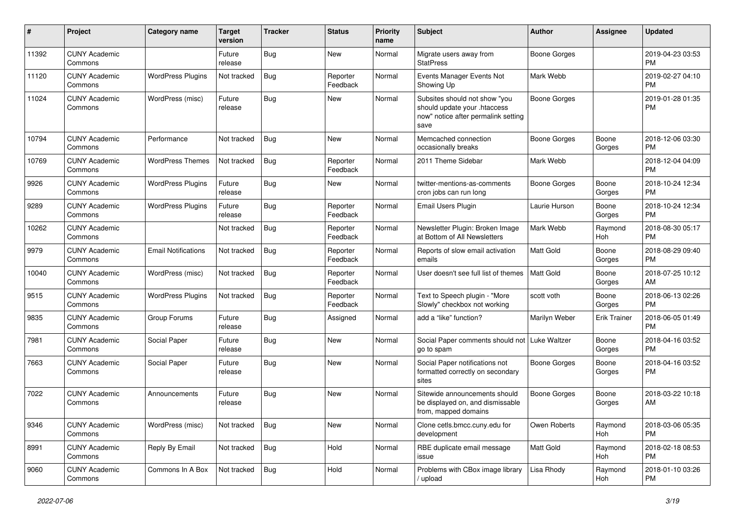| #     | Project                         | Category name              | <b>Target</b><br>version | <b>Tracker</b> | <b>Status</b>        | <b>Priority</b><br>name | <b>Subject</b>                                                                                               | Author              | <b>Assignee</b>     | <b>Updated</b>                |
|-------|---------------------------------|----------------------------|--------------------------|----------------|----------------------|-------------------------|--------------------------------------------------------------------------------------------------------------|---------------------|---------------------|-------------------------------|
| 11392 | <b>CUNY Academic</b><br>Commons |                            | Future<br>release        | <b>Bug</b>     | New                  | Normal                  | Migrate users away from<br><b>StatPress</b>                                                                  | <b>Boone Gorges</b> |                     | 2019-04-23 03:53<br>PM        |
| 11120 | <b>CUNY Academic</b><br>Commons | <b>WordPress Plugins</b>   | Not tracked              | Bug            | Reporter<br>Feedback | Normal                  | Events Manager Events Not<br>Showing Up                                                                      | Mark Webb           |                     | 2019-02-27 04:10<br><b>PM</b> |
| 11024 | <b>CUNY Academic</b><br>Commons | WordPress (misc)           | Future<br>release        | Bug            | New                  | Normal                  | Subsites should not show "you<br>should update your .htaccess<br>now" notice after permalink setting<br>save | <b>Boone Gorges</b> |                     | 2019-01-28 01:35<br><b>PM</b> |
| 10794 | <b>CUNY Academic</b><br>Commons | Performance                | Not tracked              | <b>Bug</b>     | New                  | Normal                  | Memcached connection<br>occasionally breaks                                                                  | <b>Boone Gorges</b> | Boone<br>Gorges     | 2018-12-06 03:30<br><b>PM</b> |
| 10769 | <b>CUNY Academic</b><br>Commons | <b>WordPress Themes</b>    | Not tracked              | <b>Bug</b>     | Reporter<br>Feedback | Normal                  | 2011 Theme Sidebar                                                                                           | Mark Webb           |                     | 2018-12-04 04:09<br><b>PM</b> |
| 9926  | <b>CUNY Academic</b><br>Commons | <b>WordPress Plugins</b>   | Future<br>release        | Bug            | New                  | Normal                  | twitter-mentions-as-comments<br>cron jobs can run long                                                       | <b>Boone Gorges</b> | Boone<br>Gorges     | 2018-10-24 12:34<br><b>PM</b> |
| 9289  | <b>CUNY Academic</b><br>Commons | <b>WordPress Plugins</b>   | Future<br>release        | <b>Bug</b>     | Reporter<br>Feedback | Normal                  | Email Users Plugin                                                                                           | Laurie Hurson       | Boone<br>Gorges     | 2018-10-24 12:34<br><b>PM</b> |
| 10262 | <b>CUNY Academic</b><br>Commons |                            | Not tracked              | Bug            | Reporter<br>Feedback | Normal                  | Newsletter Plugin: Broken Image<br>at Bottom of All Newsletters                                              | Mark Webb           | Raymond<br>Hoh      | 2018-08-30 05:17<br><b>PM</b> |
| 9979  | <b>CUNY Academic</b><br>Commons | <b>Email Notifications</b> | Not tracked              | <b>Bug</b>     | Reporter<br>Feedback | Normal                  | Reports of slow email activation<br>emails                                                                   | <b>Matt Gold</b>    | Boone<br>Gorges     | 2018-08-29 09:40<br><b>PM</b> |
| 10040 | <b>CUNY Academic</b><br>Commons | WordPress (misc)           | Not tracked              | <b>Bug</b>     | Reporter<br>Feedback | Normal                  | User doesn't see full list of themes                                                                         | Matt Gold           | Boone<br>Gorges     | 2018-07-25 10:12<br>AM        |
| 9515  | <b>CUNY Academic</b><br>Commons | <b>WordPress Plugins</b>   | Not tracked              | Bug            | Reporter<br>Feedback | Normal                  | Text to Speech plugin - "More<br>Slowly" checkbox not working                                                | scott voth          | Boone<br>Gorges     | 2018-06-13 02:26<br><b>PM</b> |
| 9835  | <b>CUNY Academic</b><br>Commons | Group Forums               | Future<br>release        | <b>Bug</b>     | Assigned             | Normal                  | add a "like" function?                                                                                       | Marilyn Weber       | <b>Erik Trainer</b> | 2018-06-05 01:49<br><b>PM</b> |
| 7981  | <b>CUNY Academic</b><br>Commons | Social Paper               | Future<br>release        | Bug            | <b>New</b>           | Normal                  | Social Paper comments should not<br>go to spam                                                               | Luke Waltzer        | Boone<br>Gorges     | 2018-04-16 03:52<br><b>PM</b> |
| 7663  | <b>CUNY Academic</b><br>Commons | Social Paper               | Future<br>release        | <b>Bug</b>     | New                  | Normal                  | Social Paper notifications not<br>formatted correctly on secondary<br>sites                                  | <b>Boone Gorges</b> | Boone<br>Gorges     | 2018-04-16 03:52<br><b>PM</b> |
| 7022  | <b>CUNY Academic</b><br>Commons | Announcements              | Future<br>release        | <b>Bug</b>     | New                  | Normal                  | Sitewide announcements should<br>be displayed on, and dismissable<br>from, mapped domains                    | Boone Gorges        | Boone<br>Gorges     | 2018-03-22 10:18<br>AM        |
| 9346  | <b>CUNY Academic</b><br>Commons | WordPress (misc)           | Not tracked              | Bug            | New                  | Normal                  | Clone cetls.bmcc.cuny.edu for<br>development                                                                 | Owen Roberts        | Raymond<br>Hoh      | 2018-03-06 05:35<br><b>PM</b> |
| 8991  | <b>CUNY Academic</b><br>Commons | Reply By Email             | Not tracked              | Bug            | Hold                 | Normal                  | RBE duplicate email message<br>issue                                                                         | Matt Gold           | Raymond<br>Hoh      | 2018-02-18 08:53<br><b>PM</b> |
| 9060  | <b>CUNY Academic</b><br>Commons | Commons In A Box           | Not tracked              | Bug            | Hold                 | Normal                  | Problems with CBox image library<br>/ upload                                                                 | Lisa Rhody          | Raymond<br>Hoh      | 2018-01-10 03:26<br><b>PM</b> |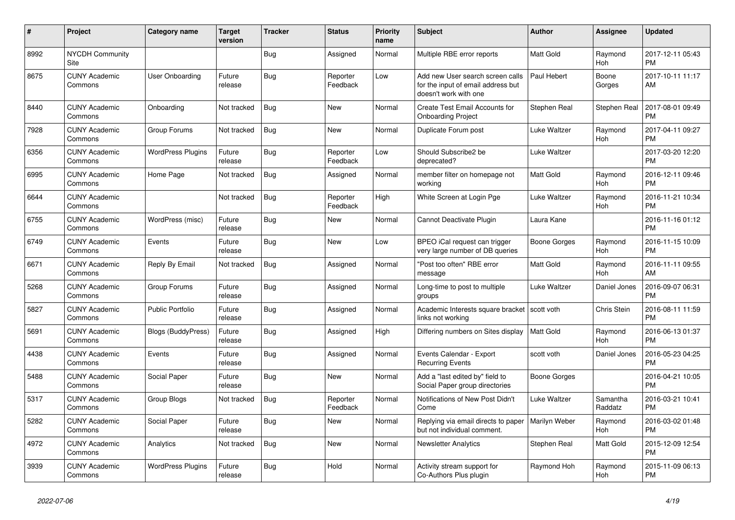| #    | Project                         | <b>Category name</b>      | <b>Target</b><br>version | <b>Tracker</b> | <b>Status</b>        | <b>Priority</b><br>name | <b>Subject</b>                                                                                  | Author           | Assignee            | <b>Updated</b>                |
|------|---------------------------------|---------------------------|--------------------------|----------------|----------------------|-------------------------|-------------------------------------------------------------------------------------------------|------------------|---------------------|-------------------------------|
| 8992 | <b>NYCDH Community</b><br>Site  |                           |                          | <b>Bug</b>     | Assigned             | Normal                  | Multiple RBE error reports                                                                      | <b>Matt Gold</b> | Raymond<br>Hoh      | 2017-12-11 05:43<br><b>PM</b> |
| 8675 | <b>CUNY Academic</b><br>Commons | User Onboarding           | Future<br>release        | Bug            | Reporter<br>Feedback | Low                     | Add new User search screen calls<br>for the input of email address but<br>doesn't work with one | Paul Hebert      | Boone<br>Gorges     | 2017-10-11 11:17<br>AM        |
| 8440 | <b>CUNY Academic</b><br>Commons | Onboarding                | Not tracked              | <b>Bug</b>     | <b>New</b>           | Normal                  | Create Test Email Accounts for<br><b>Onboarding Project</b>                                     | Stephen Real     | Stephen Real        | 2017-08-01 09:49<br><b>PM</b> |
| 7928 | <b>CUNY Academic</b><br>Commons | Group Forums              | Not tracked              | Bug            | New                  | Normal                  | Duplicate Forum post                                                                            | Luke Waltzer     | Raymond<br>Hoh      | 2017-04-11 09:27<br><b>PM</b> |
| 6356 | <b>CUNY Academic</b><br>Commons | <b>WordPress Plugins</b>  | Future<br>release        | <b>Bug</b>     | Reporter<br>Feedback | Low                     | Should Subscribe2 be<br>deprecated?                                                             | Luke Waltzer     |                     | 2017-03-20 12:20<br><b>PM</b> |
| 6995 | <b>CUNY Academic</b><br>Commons | Home Page                 | Not tracked              | Bug            | Assigned             | Normal                  | member filter on homepage not<br>working                                                        | <b>Matt Gold</b> | Raymond<br>Hoh      | 2016-12-11 09:46<br><b>PM</b> |
| 6644 | <b>CUNY Academic</b><br>Commons |                           | Not tracked              | <b>Bug</b>     | Reporter<br>Feedback | High                    | White Screen at Login Pge                                                                       | Luke Waltzer     | Raymond<br>Hoh      | 2016-11-21 10:34<br><b>PM</b> |
| 6755 | <b>CUNY Academic</b><br>Commons | WordPress (misc)          | Future<br>release        | Bug            | New                  | Normal                  | Cannot Deactivate Plugin                                                                        | Laura Kane       |                     | 2016-11-16 01:12<br><b>PM</b> |
| 6749 | <b>CUNY Academic</b><br>Commons | Events                    | Future<br>release        | <b>Bug</b>     | <b>New</b>           | Low                     | BPEO iCal request can trigger<br>very large number of DB queries                                | Boone Gorges     | Raymond<br>Hoh      | 2016-11-15 10:09<br><b>PM</b> |
| 6671 | <b>CUNY Academic</b><br>Commons | Reply By Email            | Not tracked              | <b>Bug</b>     | Assigned             | Normal                  | "Post too often" RBE error<br>message                                                           | <b>Matt Gold</b> | Raymond<br>Hoh      | 2016-11-11 09:55<br>AM        |
| 5268 | <b>CUNY Academic</b><br>Commons | Group Forums              | Future<br>release        | Bug            | Assigned             | Normal                  | Long-time to post to multiple<br>groups                                                         | Luke Waltzer     | Daniel Jones        | 2016-09-07 06:31<br><b>PM</b> |
| 5827 | <b>CUNY Academic</b><br>Commons | <b>Public Portfolio</b>   | Future<br>release        | <b>Bug</b>     | Assigned             | Normal                  | Academic Interests square bracket   scott voth<br>links not working                             |                  | Chris Stein         | 2016-08-11 11:59<br><b>PM</b> |
| 5691 | <b>CUNY Academic</b><br>Commons | <b>Blogs (BuddyPress)</b> | Future<br>release        | Bug            | Assigned             | High                    | Differing numbers on Sites display                                                              | Matt Gold        | Raymond<br>Hoh      | 2016-06-13 01:37<br><b>PM</b> |
| 4438 | <b>CUNY Academic</b><br>Commons | Events                    | Future<br>release        | Bug            | Assigned             | Normal                  | Events Calendar - Export<br><b>Recurring Events</b>                                             | scott voth       | Daniel Jones        | 2016-05-23 04:25<br><b>PM</b> |
| 5488 | <b>CUNY Academic</b><br>Commons | Social Paper              | Future<br>release        | Bug            | New                  | Normal                  | Add a "last edited by" field to<br>Social Paper group directories                               | Boone Gorges     |                     | 2016-04-21 10:05<br><b>PM</b> |
| 5317 | <b>CUNY Academic</b><br>Commons | Group Blogs               | Not tracked              | Bug            | Reporter<br>Feedback | Normal                  | Notifications of New Post Didn't<br>Come                                                        | Luke Waltzer     | Samantha<br>Raddatz | 2016-03-21 10:41<br><b>PM</b> |
| 5282 | <b>CUNY Academic</b><br>Commons | Social Paper              | Future<br>release        | <b>Bug</b>     | <b>New</b>           | Normal                  | Replying via email directs to paper<br>but not individual comment.                              | Marilyn Weber    | Raymond<br>Hoh      | 2016-03-02 01:48<br><b>PM</b> |
| 4972 | <b>CUNY Academic</b><br>Commons | Analytics                 | Not tracked              | Bug            | New                  | Normal                  | <b>Newsletter Analytics</b>                                                                     | Stephen Real     | Matt Gold           | 2015-12-09 12:54<br><b>PM</b> |
| 3939 | <b>CUNY Academic</b><br>Commons | <b>WordPress Plugins</b>  | Future<br>release        | Bug            | Hold                 | Normal                  | Activity stream support for<br>Co-Authors Plus plugin                                           | Raymond Hoh      | Raymond<br>Hoh      | 2015-11-09 06:13<br><b>PM</b> |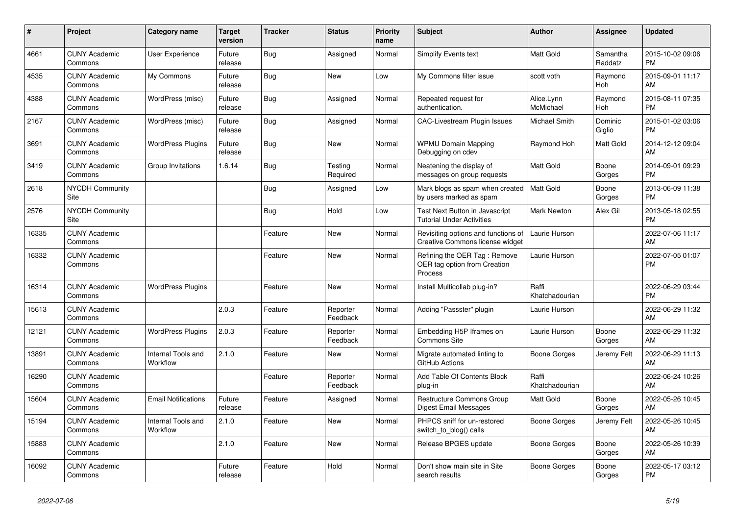| $\pmb{\#}$ | <b>Project</b>                  | <b>Category name</b>           | <b>Target</b><br>version | <b>Tracker</b> | <b>Status</b>        | <b>Priority</b><br>name | <b>Subject</b>                                                            | <b>Author</b>           | Assignee            | <b>Updated</b>                |
|------------|---------------------------------|--------------------------------|--------------------------|----------------|----------------------|-------------------------|---------------------------------------------------------------------------|-------------------------|---------------------|-------------------------------|
| 4661       | <b>CUNY Academic</b><br>Commons | <b>User Experience</b>         | Future<br>release        | <b>Bug</b>     | Assigned             | Normal                  | <b>Simplify Events text</b>                                               | <b>Matt Gold</b>        | Samantha<br>Raddatz | 2015-10-02 09:06<br><b>PM</b> |
| 4535       | <b>CUNY Academic</b><br>Commons | My Commons                     | Future<br>release        | Bug            | New                  | Low                     | My Commons filter issue                                                   | scott voth              | Raymond<br>Hoh      | 2015-09-01 11:17<br>AM        |
| 4388       | <b>CUNY Academic</b><br>Commons | WordPress (misc)               | Future<br>release        | <b>Bug</b>     | Assigned             | Normal                  | Repeated request for<br>authentication.                                   | Alice.Lynn<br>McMichael | Raymond<br>Hoh      | 2015-08-11 07:35<br><b>PM</b> |
| 2167       | <b>CUNY Academic</b><br>Commons | WordPress (misc)               | Future<br>release        | <b>Bug</b>     | Assigned             | Normal                  | <b>CAC-Livestream Plugin Issues</b>                                       | Michael Smith           | Dominic<br>Giglio   | 2015-01-02 03:06<br><b>PM</b> |
| 3691       | <b>CUNY Academic</b><br>Commons | <b>WordPress Plugins</b>       | Future<br>release        | Bug            | New                  | Normal                  | <b>WPMU Domain Mapping</b><br>Debugging on cdev                           | Raymond Hoh             | Matt Gold           | 2014-12-12 09:04<br>AM        |
| 3419       | <b>CUNY Academic</b><br>Commons | Group Invitations              | 1.6.14                   | Bug            | Testing<br>Required  | Normal                  | Neatening the display of<br>messages on group requests                    | Matt Gold               | Boone<br>Gorges     | 2014-09-01 09:29<br><b>PM</b> |
| 2618       | <b>NYCDH Community</b><br>Site  |                                |                          | <b>Bug</b>     | Assigned             | Low                     | Mark blogs as spam when created<br>by users marked as spam                | <b>Matt Gold</b>        | Boone<br>Gorges     | 2013-06-09 11:38<br><b>PM</b> |
| 2576       | <b>NYCDH Community</b><br>Site  |                                |                          | <b>Bug</b>     | Hold                 | Low                     | <b>Test Next Button in Javascript</b><br><b>Tutorial Under Activities</b> | <b>Mark Newton</b>      | Alex Gil            | 2013-05-18 02:55<br><b>PM</b> |
| 16335      | <b>CUNY Academic</b><br>Commons |                                |                          | Feature        | New                  | Normal                  | Revisiting options and functions of<br>Creative Commons license widget    | Laurie Hurson           |                     | 2022-07-06 11:17<br>AM        |
| 16332      | <b>CUNY Academic</b><br>Commons |                                |                          | Feature        | New                  | Normal                  | Refining the OER Tag: Remove<br>OER tag option from Creation<br>Process   | Laurie Hurson           |                     | 2022-07-05 01:07<br><b>PM</b> |
| 16314      | <b>CUNY Academic</b><br>Commons | <b>WordPress Plugins</b>       |                          | Feature        | New                  | Normal                  | Install Multicollab plug-in?                                              | Raffi<br>Khatchadourian |                     | 2022-06-29 03:44<br><b>PM</b> |
| 15613      | <b>CUNY Academic</b><br>Commons |                                | 2.0.3                    | Feature        | Reporter<br>Feedback | Normal                  | Adding "Passster" plugin                                                  | Laurie Hurson           |                     | 2022-06-29 11:32<br>AM        |
| 12121      | <b>CUNY Academic</b><br>Commons | <b>WordPress Plugins</b>       | 2.0.3                    | Feature        | Reporter<br>Feedback | Normal                  | Embedding H5P Iframes on<br>Commons Site                                  | Laurie Hurson           | Boone<br>Gorges     | 2022-06-29 11:32<br>AM        |
| 13891      | <b>CUNY Academic</b><br>Commons | Internal Tools and<br>Workflow | 2.1.0                    | Feature        | New                  | Normal                  | Migrate automated linting to<br>GitHub Actions                            | Boone Gorges            | Jeremy Felt         | 2022-06-29 11:13<br>AM        |
| 16290      | <b>CUNY Academic</b><br>Commons |                                |                          | Feature        | Reporter<br>Feedback | Normal                  | Add Table Of Contents Block<br>plug-in                                    | Raffi<br>Khatchadourian |                     | 2022-06-24 10:26<br>AM        |
| 15604      | <b>CUNY Academic</b><br>Commons | <b>Email Notifications</b>     | Future<br>release        | Feature        | Assigned             | Normal                  | <b>Restructure Commons Group</b><br>Digest Email Messages                 | <b>Matt Gold</b>        | Boone<br>Gorges     | 2022-05-26 10:45<br>AM        |
| 15194      | <b>CUNY Academic</b><br>Commons | Internal Tools and<br>Workflow | 2.1.0                    | Feature        | <b>New</b>           | Normal                  | PHPCS sniff for un-restored<br>switch_to_blog() calls                     | Boone Gorges            | Jeremy Felt         | 2022-05-26 10:45<br>AM        |
| 15883      | <b>CUNY Academic</b><br>Commons |                                | 2.1.0                    | Feature        | New                  | Normal                  | Release BPGES update                                                      | Boone Gorges            | Boone<br>Gorges     | 2022-05-26 10:39<br>AM        |
| 16092      | <b>CUNY Academic</b><br>Commons |                                | Future<br>release        | Feature        | Hold                 | Normal                  | Don't show main site in Site<br>search results                            | Boone Gorges            | Boone<br>Gorges     | 2022-05-17 03:12<br><b>PM</b> |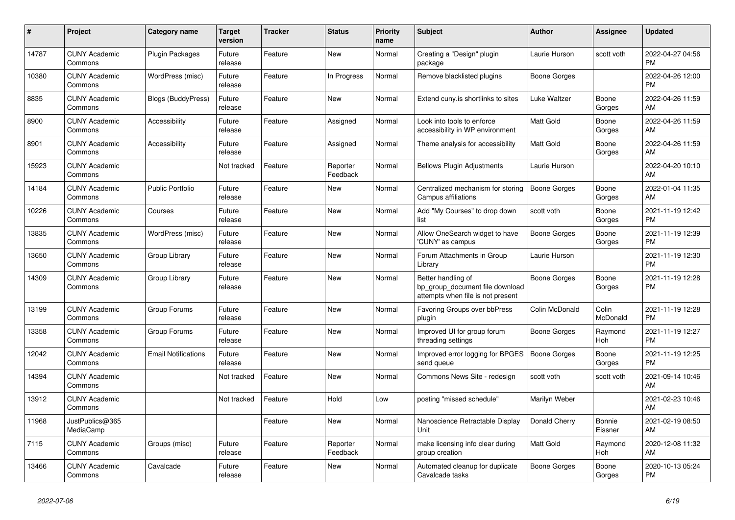| $\pmb{\#}$ | Project                         | <b>Category name</b>       | <b>Target</b><br>version | Tracker | <b>Status</b>        | <b>Priority</b><br>name | <b>Subject</b>                                                                             | <b>Author</b>       | Assignee              | <b>Updated</b>                |
|------------|---------------------------------|----------------------------|--------------------------|---------|----------------------|-------------------------|--------------------------------------------------------------------------------------------|---------------------|-----------------------|-------------------------------|
| 14787      | <b>CUNY Academic</b><br>Commons | <b>Plugin Packages</b>     | Future<br>release        | Feature | <b>New</b>           | Normal                  | Creating a "Design" plugin<br>package                                                      | Laurie Hurson       | scott voth            | 2022-04-27 04:56<br>PM        |
| 10380      | <b>CUNY Academic</b><br>Commons | WordPress (misc)           | Future<br>release        | Feature | In Progress          | Normal                  | Remove blacklisted plugins                                                                 | Boone Gorges        |                       | 2022-04-26 12:00<br>PM        |
| 8835       | <b>CUNY Academic</b><br>Commons | Blogs (BuddyPress)         | Future<br>release        | Feature | New                  | Normal                  | Extend cuny.is shortlinks to sites                                                         | Luke Waltzer        | Boone<br>Gorges       | 2022-04-26 11:59<br>AM        |
| 8900       | <b>CUNY Academic</b><br>Commons | Accessibility              | Future<br>release        | Feature | Assigned             | Normal                  | Look into tools to enforce<br>accessibility in WP environment                              | <b>Matt Gold</b>    | Boone<br>Gorges       | 2022-04-26 11:59<br>AM        |
| 8901       | <b>CUNY Academic</b><br>Commons | Accessibility              | Future<br>release        | Feature | Assigned             | Normal                  | Theme analysis for accessibility                                                           | <b>Matt Gold</b>    | Boone<br>Gorges       | 2022-04-26 11:59<br>AM        |
| 15923      | <b>CUNY Academic</b><br>Commons |                            | Not tracked              | Feature | Reporter<br>Feedback | Normal                  | <b>Bellows Plugin Adjustments</b>                                                          | Laurie Hurson       |                       | 2022-04-20 10:10<br>AM        |
| 14184      | <b>CUNY Academic</b><br>Commons | <b>Public Portfolio</b>    | Future<br>release        | Feature | <b>New</b>           | Normal                  | Centralized mechanism for storing<br>Campus affiliations                                   | Boone Gorges        | Boone<br>Gorges       | 2022-01-04 11:35<br>AM        |
| 10226      | <b>CUNY Academic</b><br>Commons | Courses                    | Future<br>release        | Feature | <b>New</b>           | Normal                  | Add "My Courses" to drop down<br>list                                                      | scott voth          | Boone<br>Gorges       | 2021-11-19 12:42<br>PM        |
| 13835      | <b>CUNY Academic</b><br>Commons | WordPress (misc)           | Future<br>release        | Feature | <b>New</b>           | Normal                  | Allow OneSearch widget to have<br>'CUNY' as campus                                         | Boone Gorges        | Boone<br>Gorges       | 2021-11-19 12:39<br><b>PM</b> |
| 13650      | <b>CUNY Academic</b><br>Commons | Group Library              | Future<br>release        | Feature | <b>New</b>           | Normal                  | Forum Attachments in Group<br>Library                                                      | Laurie Hurson       |                       | 2021-11-19 12:30<br><b>PM</b> |
| 14309      | <b>CUNY Academic</b><br>Commons | Group Library              | Future<br>release        | Feature | <b>New</b>           | Normal                  | Better handling of<br>bp_group_document file download<br>attempts when file is not present | <b>Boone Gorges</b> | Boone<br>Gorges       | 2021-11-19 12:28<br>PM        |
| 13199      | <b>CUNY Academic</b><br>Commons | Group Forums               | Future<br>release        | Feature | New                  | Normal                  | <b>Favoring Groups over bbPress</b><br>plugin                                              | Colin McDonald      | Colin<br>McDonald     | 2021-11-19 12:28<br><b>PM</b> |
| 13358      | <b>CUNY Academic</b><br>Commons | Group Forums               | Future<br>release        | Feature | <b>New</b>           | Normal                  | Improved UI for group forum<br>threading settings                                          | Boone Gorges        | Raymond<br><b>Hoh</b> | 2021-11-19 12:27<br><b>PM</b> |
| 12042      | <b>CUNY Academic</b><br>Commons | <b>Email Notifications</b> | Future<br>release        | Feature | <b>New</b>           | Normal                  | Improved error logging for BPGES<br>send queue                                             | Boone Gorges        | Boone<br>Gorges       | 2021-11-19 12:25<br><b>PM</b> |
| 14394      | <b>CUNY Academic</b><br>Commons |                            | Not tracked              | Feature | <b>New</b>           | Normal                  | Commons News Site - redesign                                                               | scott voth          | scott voth            | 2021-09-14 10:46<br>AM        |
| 13912      | <b>CUNY Academic</b><br>Commons |                            | Not tracked              | Feature | Hold                 | Low                     | posting "missed schedule"                                                                  | Marilyn Weber       |                       | 2021-02-23 10:46<br>AM        |
| 11968      | JustPublics@365<br>MediaCamp    |                            |                          | Feature | <b>New</b>           | Normal                  | Nanoscience Retractable Display<br>Unit                                                    | Donald Cherry       | Bonnie<br>Eissner     | 2021-02-19 08:50<br>AM        |
| 7115       | <b>CUNY Academic</b><br>Commons | Groups (misc)              | Future<br>release        | Feature | Reporter<br>Feedback | Normal                  | make licensing info clear during<br>group creation                                         | <b>Matt Gold</b>    | Raymond<br>Hoh        | 2020-12-08 11:32<br>AM        |
| 13466      | <b>CUNY Academic</b><br>Commons | Cavalcade                  | Future<br>release        | Feature | <b>New</b>           | Normal                  | Automated cleanup for duplicate<br>Cavalcade tasks                                         | Boone Gorges        | Boone<br>Gorges       | 2020-10-13 05:24<br><b>PM</b> |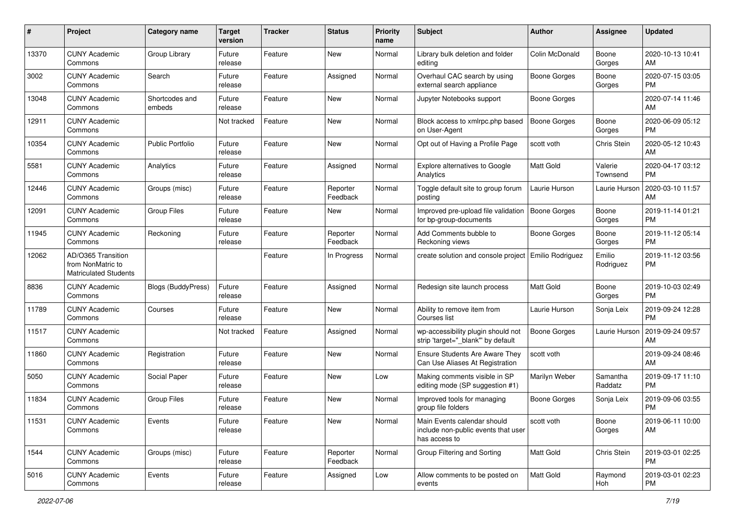| #     | Project                                                                 | <b>Category name</b>      | <b>Target</b><br>version | <b>Tracker</b> | <b>Status</b>        | <b>Priority</b><br>name | <b>Subject</b>                                                                      | <b>Author</b>       | <b>Assignee</b>     | <b>Updated</b>                |
|-------|-------------------------------------------------------------------------|---------------------------|--------------------------|----------------|----------------------|-------------------------|-------------------------------------------------------------------------------------|---------------------|---------------------|-------------------------------|
| 13370 | <b>CUNY Academic</b><br>Commons                                         | Group Library             | Future<br>release        | Feature        | New                  | Normal                  | Library bulk deletion and folder<br>editing                                         | Colin McDonald      | Boone<br>Gorges     | 2020-10-13 10:41<br>AM        |
| 3002  | <b>CUNY Academic</b><br>Commons                                         | Search                    | Future<br>release        | Feature        | Assigned             | Normal                  | Overhaul CAC search by using<br>external search appliance                           | <b>Boone Gorges</b> | Boone<br>Gorges     | 2020-07-15 03:05<br><b>PM</b> |
| 13048 | <b>CUNY Academic</b><br>Commons                                         | Shortcodes and<br>embeds  | Future<br>release        | Feature        | New                  | Normal                  | Jupyter Notebooks support                                                           | <b>Boone Gorges</b> |                     | 2020-07-14 11:46<br>AM        |
| 12911 | <b>CUNY Academic</b><br>Commons                                         |                           | Not tracked              | Feature        | New                  | Normal                  | Block access to xmlrpc.php based<br>on User-Agent                                   | <b>Boone Gorges</b> | Boone<br>Gorges     | 2020-06-09 05:12<br><b>PM</b> |
| 10354 | <b>CUNY Academic</b><br>Commons                                         | <b>Public Portfolio</b>   | Future<br>release        | Feature        | New                  | Normal                  | Opt out of Having a Profile Page                                                    | scott voth          | Chris Stein         | 2020-05-12 10:43<br>AM        |
| 5581  | <b>CUNY Academic</b><br>Commons                                         | Analytics                 | Future<br>release        | Feature        | Assigned             | Normal                  | Explore alternatives to Google<br>Analytics                                         | Matt Gold           | Valerie<br>Townsend | 2020-04-17 03:12<br><b>PM</b> |
| 12446 | <b>CUNY Academic</b><br>Commons                                         | Groups (misc)             | Future<br>release        | Feature        | Reporter<br>Feedback | Normal                  | Toggle default site to group forum<br>posting                                       | Laurie Hurson       | Laurie Hurson       | 2020-03-10 11:57<br>AM        |
| 12091 | <b>CUNY Academic</b><br>Commons                                         | <b>Group Files</b>        | Future<br>release        | Feature        | New                  | Normal                  | Improved pre-upload file validation<br>for bp-group-documents                       | Boone Gorges        | Boone<br>Gorges     | 2019-11-14 01:21<br><b>PM</b> |
| 11945 | <b>CUNY Academic</b><br>Commons                                         | Reckoning                 | Future<br>release        | Feature        | Reporter<br>Feedback | Normal                  | Add Comments bubble to<br>Reckoning views                                           | <b>Boone Gorges</b> | Boone<br>Gorges     | 2019-11-12 05:14<br><b>PM</b> |
| 12062 | AD/O365 Transition<br>from NonMatric to<br><b>Matriculated Students</b> |                           |                          | Feature        | In Progress          | Normal                  | create solution and console project                                                 | Emilio Rodriguez    | Emilio<br>Rodriguez | 2019-11-12 03:56<br><b>PM</b> |
| 8836  | <b>CUNY Academic</b><br>Commons                                         | <b>Blogs (BuddyPress)</b> | Future<br>release        | Feature        | Assigned             | Normal                  | Redesign site launch process                                                        | Matt Gold           | Boone<br>Gorges     | 2019-10-03 02:49<br><b>PM</b> |
| 11789 | <b>CUNY Academic</b><br>Commons                                         | Courses                   | Future<br>release        | Feature        | New                  | Normal                  | Ability to remove item from<br>Courses list                                         | Laurie Hurson       | Sonja Leix          | 2019-09-24 12:28<br><b>PM</b> |
| 11517 | <b>CUNY Academic</b><br>Commons                                         |                           | Not tracked              | Feature        | Assigned             | Normal                  | wp-accessibility plugin should not<br>strip 'target="_blank" by default             | Boone Gorges        | Laurie Hurson       | 2019-09-24 09:57<br>AM        |
| 11860 | <b>CUNY Academic</b><br>Commons                                         | Registration              | Future<br>release        | Feature        | New                  | Normal                  | Ensure Students Are Aware They<br>Can Use Aliases At Registration                   | scott voth          |                     | 2019-09-24 08:46<br>AM        |
| 5050  | <b>CUNY Academic</b><br>Commons                                         | Social Paper              | Future<br>release        | Feature        | New                  | Low                     | Making comments visible in SP<br>editing mode (SP suggestion #1)                    | Marilyn Weber       | Samantha<br>Raddatz | 2019-09-17 11:10<br><b>PM</b> |
| 11834 | <b>CUNY Academic</b><br>Commons                                         | <b>Group Files</b>        | Future<br>release        | Feature        | New                  | Normal                  | Improved tools for managing<br>group file folders                                   | <b>Boone Gorges</b> | Sonja Leix          | 2019-09-06 03:55<br><b>PM</b> |
| 11531 | <b>CUNY Academic</b><br>Commons                                         | Events                    | Future<br>release        | Feature        | New                  | Normal                  | Main Events calendar should<br>include non-public events that user<br>has access to | scott voth          | Boone<br>Gorges     | 2019-06-11 10:00<br>AM        |
| 1544  | <b>CUNY Academic</b><br>Commons                                         | Groups (misc)             | Future<br>release        | Feature        | Reporter<br>Feedback | Normal                  | Group Filtering and Sorting                                                         | Matt Gold           | Chris Stein         | 2019-03-01 02:25<br>PM        |
| 5016  | <b>CUNY Academic</b><br>Commons                                         | Events                    | Future<br>release        | Feature        | Assigned             | Low                     | Allow comments to be posted on<br>events                                            | Matt Gold           | Raymond<br>Hoh      | 2019-03-01 02:23<br><b>PM</b> |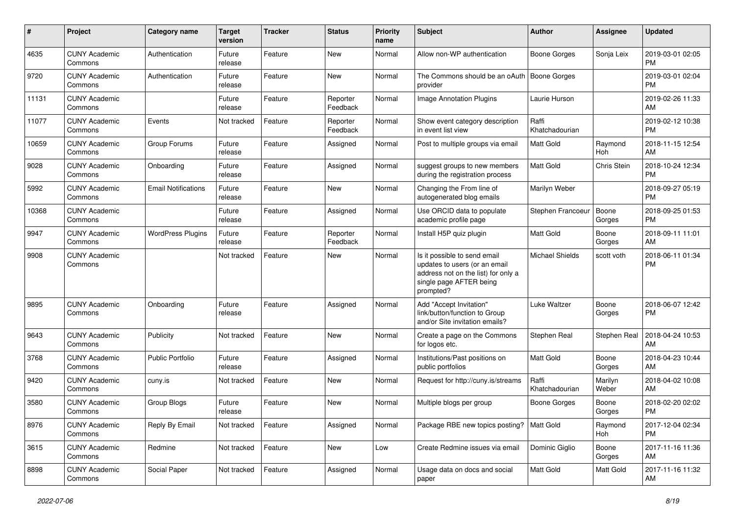| #     | Project                         | <b>Category name</b>       | <b>Target</b><br>version | <b>Tracker</b> | <b>Status</b>        | <b>Priority</b><br>name | <b>Subject</b>                                                                                                                               | Author                  | <b>Assignee</b>  | <b>Updated</b>                |
|-------|---------------------------------|----------------------------|--------------------------|----------------|----------------------|-------------------------|----------------------------------------------------------------------------------------------------------------------------------------------|-------------------------|------------------|-------------------------------|
| 4635  | <b>CUNY Academic</b><br>Commons | Authentication             | Future<br>release        | Feature        | New                  | Normal                  | Allow non-WP authentication                                                                                                                  | Boone Gorges            | Sonja Leix       | 2019-03-01 02:05<br>PM        |
| 9720  | <b>CUNY Academic</b><br>Commons | Authentication             | Future<br>release        | Feature        | New                  | Normal                  | The Commons should be an oAuth<br>provider                                                                                                   | <b>Boone Gorges</b>     |                  | 2019-03-01 02:04<br><b>PM</b> |
| 11131 | <b>CUNY Academic</b><br>Commons |                            | Future<br>release        | Feature        | Reporter<br>Feedback | Normal                  | <b>Image Annotation Plugins</b>                                                                                                              | Laurie Hurson           |                  | 2019-02-26 11:33<br>AM        |
| 11077 | <b>CUNY Academic</b><br>Commons | Events                     | Not tracked              | Feature        | Reporter<br>Feedback | Normal                  | Show event category description<br>in event list view                                                                                        | Raffi<br>Khatchadourian |                  | 2019-02-12 10:38<br><b>PM</b> |
| 10659 | <b>CUNY Academic</b><br>Commons | Group Forums               | Future<br>release        | Feature        | Assigned             | Normal                  | Post to multiple groups via email                                                                                                            | Matt Gold               | Raymond<br>Hoh   | 2018-11-15 12:54<br>AM        |
| 9028  | <b>CUNY Academic</b><br>Commons | Onboarding                 | Future<br>release        | Feature        | Assigned             | Normal                  | suggest groups to new members<br>during the registration process                                                                             | <b>Matt Gold</b>        | Chris Stein      | 2018-10-24 12:34<br><b>PM</b> |
| 5992  | <b>CUNY Academic</b><br>Commons | <b>Email Notifications</b> | Future<br>release        | Feature        | New                  | Normal                  | Changing the From line of<br>autogenerated blog emails                                                                                       | Marilyn Weber           |                  | 2018-09-27 05:19<br><b>PM</b> |
| 10368 | <b>CUNY Academic</b><br>Commons |                            | Future<br>release        | Feature        | Assigned             | Normal                  | Use ORCID data to populate<br>academic profile page                                                                                          | Stephen Francoeur       | Boone<br>Gorges  | 2018-09-25 01:53<br>PM        |
| 9947  | <b>CUNY Academic</b><br>Commons | <b>WordPress Plugins</b>   | Future<br>release        | Feature        | Reporter<br>Feedback | Normal                  | Install H5P quiz plugin                                                                                                                      | <b>Matt Gold</b>        | Boone<br>Gorges  | 2018-09-11 11:01<br>AM        |
| 9908  | <b>CUNY Academic</b><br>Commons |                            | Not tracked              | Feature        | New                  | Normal                  | Is it possible to send email<br>updates to users (or an email<br>address not on the list) for only a<br>single page AFTER being<br>prompted? | <b>Michael Shields</b>  | scott voth       | 2018-06-11 01:34<br><b>PM</b> |
| 9895  | <b>CUNY Academic</b><br>Commons | Onboarding                 | Future<br>release        | Feature        | Assigned             | Normal                  | Add "Accept Invitation"<br>link/button/function to Group<br>and/or Site invitation emails?                                                   | Luke Waltzer            | Boone<br>Gorges  | 2018-06-07 12:42<br>PM        |
| 9643  | <b>CUNY Academic</b><br>Commons | Publicity                  | Not tracked              | Feature        | <b>New</b>           | Normal                  | Create a page on the Commons<br>for logos etc.                                                                                               | Stephen Real            | Stephen Real     | 2018-04-24 10:53<br>AM        |
| 3768  | <b>CUNY Academic</b><br>Commons | <b>Public Portfolio</b>    | Future<br>release        | Feature        | Assigned             | Normal                  | Institutions/Past positions on<br>public portfolios                                                                                          | <b>Matt Gold</b>        | Boone<br>Gorges  | 2018-04-23 10:44<br>AM        |
| 9420  | <b>CUNY Academic</b><br>Commons | cuny.is                    | Not tracked              | Feature        | New                  | Normal                  | Request for http://cuny.is/streams                                                                                                           | Raffi<br>Khatchadourian | Marilyn<br>Weber | 2018-04-02 10:08<br>AM        |
| 3580  | <b>CUNY Academic</b><br>Commons | Group Blogs                | Future<br>release        | Feature        | New                  | Normal                  | Multiple blogs per group                                                                                                                     | Boone Gorges            | Boone<br>Gorges  | 2018-02-20 02:02<br><b>PM</b> |
| 8976  | <b>CUNY Academic</b><br>Commons | Reply By Email             | Not tracked              | Feature        | Assigned             | Normal                  | Package RBE new topics posting?                                                                                                              | Matt Gold               | Raymond<br>Hoh   | 2017-12-04 02:34<br>PM        |
| 3615  | <b>CUNY Academic</b><br>Commons | Redmine                    | Not tracked              | Feature        | New                  | Low                     | Create Redmine issues via email                                                                                                              | Dominic Giglio          | Boone<br>Gorges  | 2017-11-16 11:36<br>AM        |
| 8898  | <b>CUNY Academic</b><br>Commons | Social Paper               | Not tracked              | Feature        | Assigned             | Normal                  | Usage data on docs and social<br>paper                                                                                                       | Matt Gold               | Matt Gold        | 2017-11-16 11:32<br>AM        |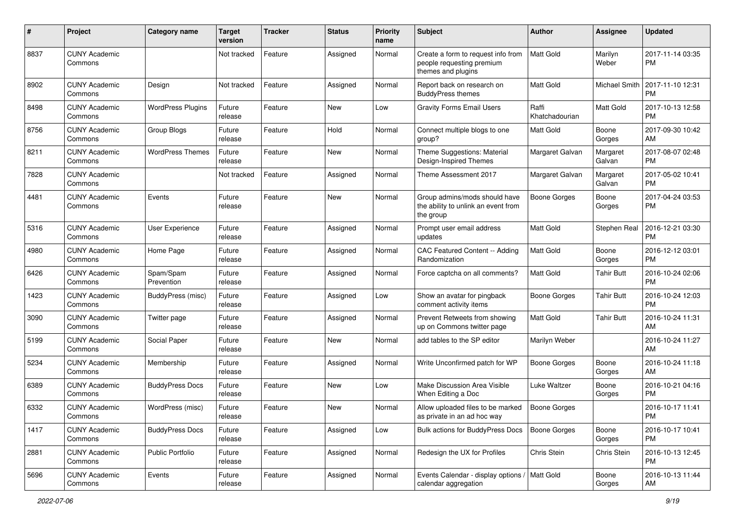| #    | Project                         | <b>Category name</b>     | <b>Target</b><br>version | <b>Tracker</b> | <b>Status</b> | <b>Priority</b><br>name | <b>Subject</b>                                                                        | Author                  | <b>Assignee</b>    | <b>Updated</b>                |
|------|---------------------------------|--------------------------|--------------------------|----------------|---------------|-------------------------|---------------------------------------------------------------------------------------|-------------------------|--------------------|-------------------------------|
| 8837 | <b>CUNY Academic</b><br>Commons |                          | Not tracked              | Feature        | Assigned      | Normal                  | Create a form to request info from<br>people requesting premium<br>themes and plugins | Matt Gold               | Marilyn<br>Weber   | 2017-11-14 03:35<br><b>PM</b> |
| 8902 | <b>CUNY Academic</b><br>Commons | Design                   | Not tracked              | Feature        | Assigned      | Normal                  | Report back on research on<br><b>BuddyPress themes</b>                                | <b>Matt Gold</b>        | Michael Smith      | 2017-11-10 12:31<br><b>PM</b> |
| 8498 | <b>CUNY Academic</b><br>Commons | <b>WordPress Plugins</b> | Future<br>release        | Feature        | New           | Low                     | <b>Gravity Forms Email Users</b>                                                      | Raffi<br>Khatchadourian | Matt Gold          | 2017-10-13 12:58<br><b>PM</b> |
| 8756 | <b>CUNY Academic</b><br>Commons | Group Blogs              | Future<br>release        | Feature        | Hold          | Normal                  | Connect multiple blogs to one<br>group?                                               | <b>Matt Gold</b>        | Boone<br>Gorges    | 2017-09-30 10:42<br>AM        |
| 8211 | <b>CUNY Academic</b><br>Commons | <b>WordPress Themes</b>  | Future<br>release        | Feature        | New           | Normal                  | Theme Suggestions: Material<br>Design-Inspired Themes                                 | Margaret Galvan         | Margaret<br>Galvan | 2017-08-07 02:48<br><b>PM</b> |
| 7828 | <b>CUNY Academic</b><br>Commons |                          | Not tracked              | Feature        | Assigned      | Normal                  | Theme Assessment 2017                                                                 | Margaret Galvan         | Margaret<br>Galvan | 2017-05-02 10:41<br><b>PM</b> |
| 4481 | <b>CUNY Academic</b><br>Commons | Events                   | Future<br>release        | Feature        | New           | Normal                  | Group admins/mods should have<br>the ability to unlink an event from<br>the group     | Boone Gorges            | Boone<br>Gorges    | 2017-04-24 03:53<br><b>PM</b> |
| 5316 | <b>CUNY Academic</b><br>Commons | <b>User Experience</b>   | Future<br>release        | Feature        | Assigned      | Normal                  | Prompt user email address<br>updates                                                  | Matt Gold               | Stephen Real       | 2016-12-21 03:30<br><b>PM</b> |
| 4980 | <b>CUNY Academic</b><br>Commons | Home Page                | Future<br>release        | Feature        | Assigned      | Normal                  | CAC Featured Content -- Adding<br>Randomization                                       | <b>Matt Gold</b>        | Boone<br>Gorges    | 2016-12-12 03:01<br><b>PM</b> |
| 6426 | <b>CUNY Academic</b><br>Commons | Spam/Spam<br>Prevention  | Future<br>release        | Feature        | Assigned      | Normal                  | Force captcha on all comments?                                                        | <b>Matt Gold</b>        | <b>Tahir Butt</b>  | 2016-10-24 02:06<br><b>PM</b> |
| 1423 | <b>CUNY Academic</b><br>Commons | BuddyPress (misc)        | Future<br>release        | Feature        | Assigned      | Low                     | Show an avatar for pingback<br>comment activity items                                 | Boone Gorges            | <b>Tahir Butt</b>  | 2016-10-24 12:03<br><b>PM</b> |
| 3090 | <b>CUNY Academic</b><br>Commons | Twitter page             | Future<br>release        | Feature        | Assigned      | Normal                  | Prevent Retweets from showing<br>up on Commons twitter page                           | <b>Matt Gold</b>        | <b>Tahir Butt</b>  | 2016-10-24 11:31<br>AM        |
| 5199 | <b>CUNY Academic</b><br>Commons | Social Paper             | Future<br>release        | Feature        | New           | Normal                  | add tables to the SP editor                                                           | Marilyn Weber           |                    | 2016-10-24 11:27<br>AM        |
| 5234 | <b>CUNY Academic</b><br>Commons | Membership               | Future<br>release        | Feature        | Assigned      | Normal                  | Write Unconfirmed patch for WP                                                        | Boone Gorges            | Boone<br>Gorges    | 2016-10-24 11:18<br>AM        |
| 6389 | <b>CUNY Academic</b><br>Commons | <b>BuddyPress Docs</b>   | Future<br>release        | Feature        | New           | Low                     | Make Discussion Area Visible<br>When Editing a Doc                                    | Luke Waltzer            | Boone<br>Gorges    | 2016-10-21 04:16<br><b>PM</b> |
| 6332 | <b>CUNY Academic</b><br>Commons | WordPress (misc)         | Future<br>release        | Feature        | New           | Normal                  | Allow uploaded files to be marked<br>as private in an ad hoc way                      | Boone Gorges            |                    | 2016-10-17 11:41<br>PM        |
| 1417 | <b>CUNY Academic</b><br>Commons | <b>BuddyPress Docs</b>   | Future<br>release        | Feature        | Assigned      | Low                     | Bulk actions for BuddyPress Docs                                                      | Boone Gorges            | Boone<br>Gorges    | 2016-10-17 10:41<br>PM        |
| 2881 | <b>CUNY Academic</b><br>Commons | Public Portfolio         | Future<br>release        | Feature        | Assigned      | Normal                  | Redesign the UX for Profiles                                                          | Chris Stein             | Chris Stein        | 2016-10-13 12:45<br><b>PM</b> |
| 5696 | <b>CUNY Academic</b><br>Commons | Events                   | Future<br>release        | Feature        | Assigned      | Normal                  | Events Calendar - display options / Matt Gold<br>calendar aggregation                 |                         | Boone<br>Gorges    | 2016-10-13 11:44<br>AM        |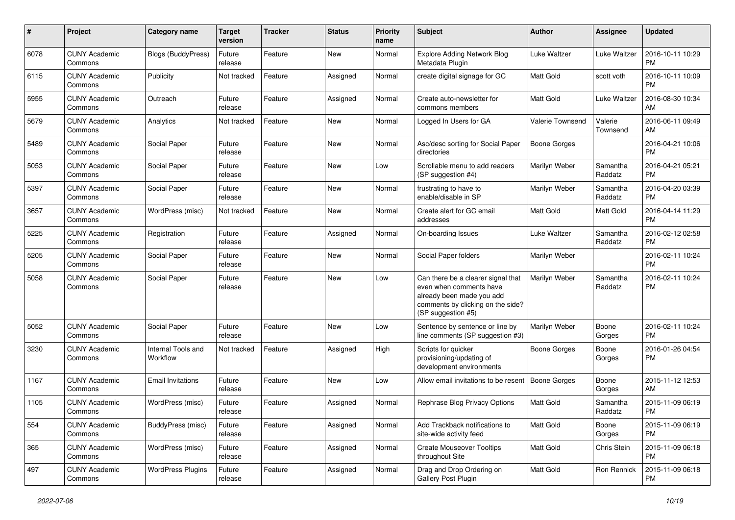| #    | Project                         | <b>Category name</b>           | <b>Target</b><br>version | <b>Tracker</b> | <b>Status</b> | Priority<br>name | <b>Subject</b>                                                                                                                                        | Author           | <b>Assignee</b>     | <b>Updated</b>                |
|------|---------------------------------|--------------------------------|--------------------------|----------------|---------------|------------------|-------------------------------------------------------------------------------------------------------------------------------------------------------|------------------|---------------------|-------------------------------|
| 6078 | <b>CUNY Academic</b><br>Commons | <b>Blogs (BuddyPress)</b>      | Future<br>release        | Feature        | New           | Normal           | <b>Explore Adding Network Blog</b><br>Metadata Plugin                                                                                                 | Luke Waltzer     | Luke Waltzer        | 2016-10-11 10:29<br><b>PM</b> |
| 6115 | <b>CUNY Academic</b><br>Commons | Publicity                      | Not tracked              | Feature        | Assigned      | Normal           | create digital signage for GC                                                                                                                         | <b>Matt Gold</b> | scott voth          | 2016-10-11 10:09<br><b>PM</b> |
| 5955 | <b>CUNY Academic</b><br>Commons | Outreach                       | Future<br>release        | Feature        | Assigned      | Normal           | Create auto-newsletter for<br>commons members                                                                                                         | <b>Matt Gold</b> | Luke Waltzer        | 2016-08-30 10:34<br>AM        |
| 5679 | <b>CUNY Academic</b><br>Commons | Analytics                      | Not tracked              | Feature        | New           | Normal           | Logged In Users for GA                                                                                                                                | Valerie Townsend | Valerie<br>Townsend | 2016-06-11 09:49<br>AM        |
| 5489 | <b>CUNY Academic</b><br>Commons | Social Paper                   | Future<br>release        | Feature        | New           | Normal           | Asc/desc sorting for Social Paper<br>directories                                                                                                      | Boone Gorges     |                     | 2016-04-21 10:06<br><b>PM</b> |
| 5053 | <b>CUNY Academic</b><br>Commons | Social Paper                   | Future<br>release        | Feature        | New           | Low              | Scrollable menu to add readers<br>(SP suggestion #4)                                                                                                  | Marilyn Weber    | Samantha<br>Raddatz | 2016-04-21 05:21<br><b>PM</b> |
| 5397 | <b>CUNY Academic</b><br>Commons | Social Paper                   | Future<br>release        | Feature        | New           | Normal           | frustrating to have to<br>enable/disable in SP                                                                                                        | Marilyn Weber    | Samantha<br>Raddatz | 2016-04-20 03:39<br><b>PM</b> |
| 3657 | <b>CUNY Academic</b><br>Commons | WordPress (misc)               | Not tracked              | Feature        | New           | Normal           | Create alert for GC email<br>addresses                                                                                                                | <b>Matt Gold</b> | Matt Gold           | 2016-04-14 11:29<br>PM        |
| 5225 | <b>CUNY Academic</b><br>Commons | Registration                   | Future<br>release        | Feature        | Assigned      | Normal           | On-boarding Issues                                                                                                                                    | Luke Waltzer     | Samantha<br>Raddatz | 2016-02-12 02:58<br><b>PM</b> |
| 5205 | <b>CUNY Academic</b><br>Commons | Social Paper                   | Future<br>release        | Feature        | New           | Normal           | Social Paper folders                                                                                                                                  | Marilyn Weber    |                     | 2016-02-11 10:24<br><b>PM</b> |
| 5058 | <b>CUNY Academic</b><br>Commons | Social Paper                   | Future<br>release        | Feature        | New           | Low              | Can there be a clearer signal that<br>even when comments have<br>already been made you add<br>comments by clicking on the side?<br>(SP suggestion #5) | Marilyn Weber    | Samantha<br>Raddatz | 2016-02-11 10:24<br><b>PM</b> |
| 5052 | <b>CUNY Academic</b><br>Commons | Social Paper                   | Future<br>release        | Feature        | New           | Low              | Sentence by sentence or line by<br>line comments (SP suggestion #3)                                                                                   | Marilyn Weber    | Boone<br>Gorges     | 2016-02-11 10:24<br><b>PM</b> |
| 3230 | <b>CUNY Academic</b><br>Commons | Internal Tools and<br>Workflow | Not tracked              | Feature        | Assigned      | High             | Scripts for quicker<br>provisioning/updating of<br>development environments                                                                           | Boone Gorges     | Boone<br>Gorges     | 2016-01-26 04:54<br><b>PM</b> |
| 1167 | <b>CUNY Academic</b><br>Commons | <b>Email Invitations</b>       | Future<br>release        | Feature        | New           | Low              | Allow email invitations to be resent                                                                                                                  | Boone Gorges     | Boone<br>Gorges     | 2015-11-12 12:53<br>AM        |
| 1105 | <b>CUNY Academic</b><br>Commons | WordPress (misc)               | Future<br>release        | Feature        | Assigned      | Normal           | Rephrase Blog Privacy Options                                                                                                                         | <b>Matt Gold</b> | Samantha<br>Raddatz | 2015-11-09 06:19<br><b>PM</b> |
| 554  | <b>CUNY Academic</b><br>Commons | BuddyPress (misc)              | Future<br>release        | Feature        | Assigned      | Normal           | Add Trackback notifications to<br>site-wide activity feed                                                                                             | Matt Gold        | Boone<br>Gorges     | 2015-11-09 06:19<br><b>PM</b> |
| 365  | <b>CUNY Academic</b><br>Commons | WordPress (misc)               | Future<br>release        | Feature        | Assigned      | Normal           | <b>Create Mouseover Tooltips</b><br>throughout Site                                                                                                   | <b>Matt Gold</b> | Chris Stein         | 2015-11-09 06:18<br><b>PM</b> |
| 497  | <b>CUNY Academic</b><br>Commons | <b>WordPress Plugins</b>       | Future<br>release        | Feature        | Assigned      | Normal           | Drag and Drop Ordering on<br>Gallery Post Plugin                                                                                                      | <b>Matt Gold</b> | Ron Rennick         | 2015-11-09 06:18<br><b>PM</b> |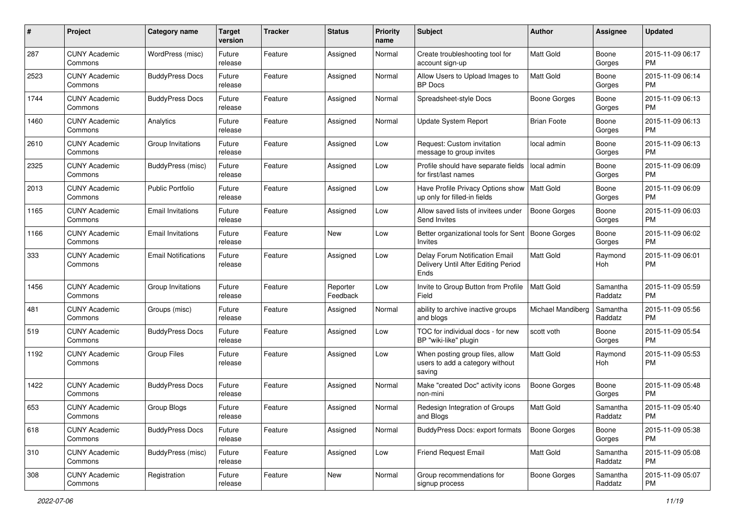| #    | Project                         | <b>Category name</b>       | <b>Target</b><br>version | <b>Tracker</b> | <b>Status</b>        | <b>Priority</b><br>name | Subject                                                                       | Author              | Assignee            | <b>Updated</b>                |
|------|---------------------------------|----------------------------|--------------------------|----------------|----------------------|-------------------------|-------------------------------------------------------------------------------|---------------------|---------------------|-------------------------------|
| 287  | <b>CUNY Academic</b><br>Commons | WordPress (misc)           | Future<br>release        | Feature        | Assigned             | Normal                  | Create troubleshooting tool for<br>account sign-up                            | <b>Matt Gold</b>    | Boone<br>Gorges     | 2015-11-09 06:17<br>PM        |
| 2523 | <b>CUNY Academic</b><br>Commons | <b>BuddyPress Docs</b>     | Future<br>release        | Feature        | Assigned             | Normal                  | Allow Users to Upload Images to<br><b>BP</b> Docs                             | <b>Matt Gold</b>    | Boone<br>Gorges     | 2015-11-09 06:14<br>PM        |
| 1744 | CUNY Academic<br>Commons        | <b>BuddyPress Docs</b>     | Future<br>release        | Feature        | Assigned             | Normal                  | Spreadsheet-style Docs                                                        | Boone Gorges        | Boone<br>Gorges     | 2015-11-09 06:13<br><b>PM</b> |
| 1460 | <b>CUNY Academic</b><br>Commons | Analytics                  | Future<br>release        | Feature        | Assigned             | Normal                  | <b>Update System Report</b>                                                   | <b>Brian Foote</b>  | Boone<br>Gorges     | 2015-11-09 06:13<br>PM        |
| 2610 | <b>CUNY Academic</b><br>Commons | Group Invitations          | Future<br>release        | Feature        | Assigned             | Low                     | Request: Custom invitation<br>message to group invites                        | local admin         | Boone<br>Gorges     | 2015-11-09 06:13<br>PM        |
| 2325 | <b>CUNY Academic</b><br>Commons | BuddyPress (misc)          | Future<br>release        | Feature        | Assigned             | Low                     | Profile should have separate fields<br>for first/last names                   | local admin         | Boone<br>Gorges     | 2015-11-09 06:09<br>PM        |
| 2013 | <b>CUNY Academic</b><br>Commons | <b>Public Portfolio</b>    | Future<br>release        | Feature        | Assigned             | Low                     | Have Profile Privacy Options show   Matt Gold<br>up only for filled-in fields |                     | Boone<br>Gorges     | 2015-11-09 06:09<br><b>PM</b> |
| 1165 | <b>CUNY Academic</b><br>Commons | <b>Email Invitations</b>   | Future<br>release        | Feature        | Assigned             | Low                     | Allow saved lists of invitees under<br>Send Invites                           | <b>Boone Gorges</b> | Boone<br>Gorges     | 2015-11-09 06:03<br>PM        |
| 1166 | <b>CUNY Academic</b><br>Commons | <b>Email Invitations</b>   | Future<br>release        | Feature        | New                  | Low                     | Better organizational tools for Sent   Boone Gorges<br>Invites                |                     | Boone<br>Gorges     | 2015-11-09 06:02<br><b>PM</b> |
| 333  | <b>CUNY Academic</b><br>Commons | <b>Email Notifications</b> | Future<br>release        | Feature        | Assigned             | Low                     | Delay Forum Notification Email<br>Delivery Until After Editing Period<br>Ends | <b>Matt Gold</b>    | Raymond<br>Hoh      | 2015-11-09 06:01<br><b>PM</b> |
| 1456 | <b>CUNY Academic</b><br>Commons | Group Invitations          | Future<br>release        | Feature        | Reporter<br>Feedback | Low                     | Invite to Group Button from Profile<br>Field                                  | <b>Matt Gold</b>    | Samantha<br>Raddatz | 2015-11-09 05:59<br>PM        |
| 481  | <b>CUNY Academic</b><br>Commons | Groups (misc)              | Future<br>release        | Feature        | Assigned             | Normal                  | ability to archive inactive groups<br>and blogs                               | Michael Mandiberg   | Samantha<br>Raddatz | 2015-11-09 05:56<br>PM        |
| 519  | CUNY Academic<br>Commons        | <b>BuddyPress Docs</b>     | Future<br>release        | Feature        | Assigned             | Low                     | TOC for individual docs - for new<br>BP "wiki-like" plugin                    | scott voth          | Boone<br>Gorges     | 2015-11-09 05:54<br>PM        |
| 1192 | <b>CUNY Academic</b><br>Commons | Group Files                | Future<br>release        | Feature        | Assigned             | Low                     | When posting group files, allow<br>users to add a category without<br>saving  | <b>Matt Gold</b>    | Raymond<br>Hoh      | 2015-11-09 05:53<br>PM        |
| 1422 | <b>CUNY Academic</b><br>Commons | <b>BuddyPress Docs</b>     | Future<br>release        | Feature        | Assigned             | Normal                  | Make "created Doc" activity icons<br>non-mini                                 | <b>Boone Gorges</b> | Boone<br>Gorges     | 2015-11-09 05:48<br>PM        |
| 653  | CUNY Academic<br>Commons        | Group Blogs                | Future<br>release        | Feature        | Assigned             | Normal                  | Redesign Integration of Groups<br>and Blogs                                   | <b>Matt Gold</b>    | Samantha<br>Raddatz | 2015-11-09 05:40<br>PM        |
| 618  | <b>CUNY Academic</b><br>Commons | <b>BuddyPress Docs</b>     | Future<br>release        | Feature        | Assigned             | Normal                  | BuddyPress Docs: export formats                                               | <b>Boone Gorges</b> | Boone<br>Gorges     | 2015-11-09 05:38<br>PM        |
| 310  | <b>CUNY Academic</b><br>Commons | BuddyPress (misc)          | Future<br>release        | Feature        | Assigned             | Low                     | Friend Request Email                                                          | Matt Gold           | Samantha<br>Raddatz | 2015-11-09 05:08<br><b>PM</b> |
| 308  | <b>CUNY Academic</b><br>Commons | Registration               | Future<br>release        | Feature        | New                  | Normal                  | Group recommendations for<br>signup process                                   | Boone Gorges        | Samantha<br>Raddatz | 2015-11-09 05:07<br>PM        |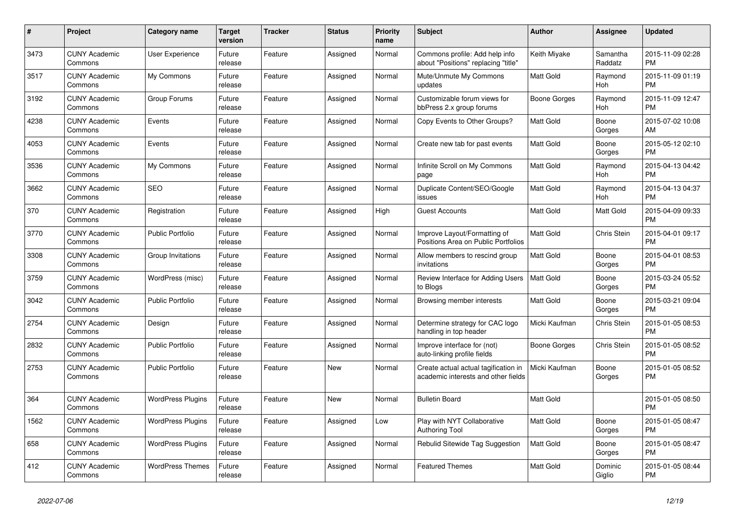| #    | <b>Project</b>                  | <b>Category name</b>     | <b>Target</b><br>version | <b>Tracker</b> | <b>Status</b> | <b>Priority</b><br>name | <b>Subject</b>                                                              | Author           | Assignee            | <b>Updated</b>                |
|------|---------------------------------|--------------------------|--------------------------|----------------|---------------|-------------------------|-----------------------------------------------------------------------------|------------------|---------------------|-------------------------------|
| 3473 | <b>CUNY Academic</b><br>Commons | <b>User Experience</b>   | Future<br>release        | Feature        | Assigned      | Normal                  | Commons profile: Add help info<br>about "Positions" replacing "title"       | Keith Miyake     | Samantha<br>Raddatz | 2015-11-09 02:28<br><b>PM</b> |
| 3517 | <b>CUNY Academic</b><br>Commons | My Commons               | Future<br>release        | Feature        | Assigned      | Normal                  | Mute/Unmute My Commons<br>updates                                           | Matt Gold        | Raymond<br>Hoh      | 2015-11-09 01:19<br><b>PM</b> |
| 3192 | <b>CUNY Academic</b><br>Commons | Group Forums             | Future<br>release        | Feature        | Assigned      | Normal                  | Customizable forum views for<br>bbPress 2.x group forums                    | Boone Gorges     | Raymond<br>Hoh      | 2015-11-09 12:47<br><b>PM</b> |
| 4238 | <b>CUNY Academic</b><br>Commons | Events                   | Future<br>release        | Feature        | Assigned      | Normal                  | Copy Events to Other Groups?                                                | <b>Matt Gold</b> | Boone<br>Gorges     | 2015-07-02 10:08<br>AM        |
| 4053 | <b>CUNY Academic</b><br>Commons | Events                   | Future<br>release        | Feature        | Assigned      | Normal                  | Create new tab for past events                                              | <b>Matt Gold</b> | Boone<br>Gorges     | 2015-05-12 02:10<br><b>PM</b> |
| 3536 | <b>CUNY Academic</b><br>Commons | My Commons               | Future<br>release        | Feature        | Assigned      | Normal                  | Infinite Scroll on My Commons<br>page                                       | <b>Matt Gold</b> | Raymond<br>Hoh      | 2015-04-13 04:42<br><b>PM</b> |
| 3662 | <b>CUNY Academic</b><br>Commons | <b>SEO</b>               | Future<br>release        | Feature        | Assigned      | Normal                  | Duplicate Content/SEO/Google<br>issues                                      | <b>Matt Gold</b> | Raymond<br>Hoh      | 2015-04-13 04:37<br><b>PM</b> |
| 370  | <b>CUNY Academic</b><br>Commons | Registration             | Future<br>release        | Feature        | Assigned      | High                    | <b>Guest Accounts</b>                                                       | <b>Matt Gold</b> | Matt Gold           | 2015-04-09 09:33<br><b>PM</b> |
| 3770 | <b>CUNY Academic</b><br>Commons | <b>Public Portfolio</b>  | Future<br>release        | Feature        | Assigned      | Normal                  | Improve Layout/Formatting of<br>Positions Area on Public Portfolios         | <b>Matt Gold</b> | Chris Stein         | 2015-04-01 09:17<br><b>PM</b> |
| 3308 | <b>CUNY Academic</b><br>Commons | Group Invitations        | Future<br>release        | Feature        | Assigned      | Normal                  | Allow members to rescind group<br>invitations                               | <b>Matt Gold</b> | Boone<br>Gorges     | 2015-04-01 08:53<br><b>PM</b> |
| 3759 | <b>CUNY Academic</b><br>Commons | WordPress (misc)         | Future<br>release        | Feature        | Assigned      | Normal                  | Review Interface for Adding Users<br>to Blogs                               | <b>Matt Gold</b> | Boone<br>Gorges     | 2015-03-24 05:52<br><b>PM</b> |
| 3042 | <b>CUNY Academic</b><br>Commons | <b>Public Portfolio</b>  | Future<br>release        | Feature        | Assigned      | Normal                  | Browsing member interests                                                   | <b>Matt Gold</b> | Boone<br>Gorges     | 2015-03-21 09:04<br><b>PM</b> |
| 2754 | <b>CUNY Academic</b><br>Commons | Design                   | Future<br>release        | Feature        | Assigned      | Normal                  | Determine strategy for CAC logo<br>handling in top header                   | Micki Kaufman    | Chris Stein         | 2015-01-05 08:53<br><b>PM</b> |
| 2832 | <b>CUNY Academic</b><br>Commons | Public Portfolio         | Future<br>release        | Feature        | Assigned      | Normal                  | Improve interface for (not)<br>auto-linking profile fields                  | Boone Gorges     | Chris Stein         | 2015-01-05 08:52<br><b>PM</b> |
| 2753 | <b>CUNY Academic</b><br>Commons | <b>Public Portfolio</b>  | Future<br>release        | Feature        | <b>New</b>    | Normal                  | Create actual actual tagification in<br>academic interests and other fields | Micki Kaufman    | Boone<br>Gorges     | 2015-01-05 08:52<br><b>PM</b> |
| 364  | <b>CUNY Academic</b><br>Commons | <b>WordPress Plugins</b> | Future<br>release        | Feature        | <b>New</b>    | Normal                  | <b>Bulletin Board</b>                                                       | <b>Matt Gold</b> |                     | 2015-01-05 08:50<br><b>PM</b> |
| 1562 | <b>CUNY Academic</b><br>Commons | <b>WordPress Plugins</b> | Future<br>release        | Feature        | Assigned      | Low                     | Play with NYT Collaborative<br><b>Authoring Tool</b>                        | <b>Matt Gold</b> | Boone<br>Gorges     | 2015-01-05 08:47<br><b>PM</b> |
| 658  | <b>CUNY Academic</b><br>Commons | <b>WordPress Plugins</b> | Future<br>release        | Feature        | Assigned      | Normal                  | Rebulid Sitewide Tag Suggestion                                             | <b>Matt Gold</b> | Boone<br>Gorges     | 2015-01-05 08:47<br><b>PM</b> |
| 412  | <b>CUNY Academic</b><br>Commons | <b>WordPress Themes</b>  | Future<br>release        | Feature        | Assigned      | Normal                  | <b>Featured Themes</b>                                                      | <b>Matt Gold</b> | Dominic<br>Giglio   | 2015-01-05 08:44<br><b>PM</b> |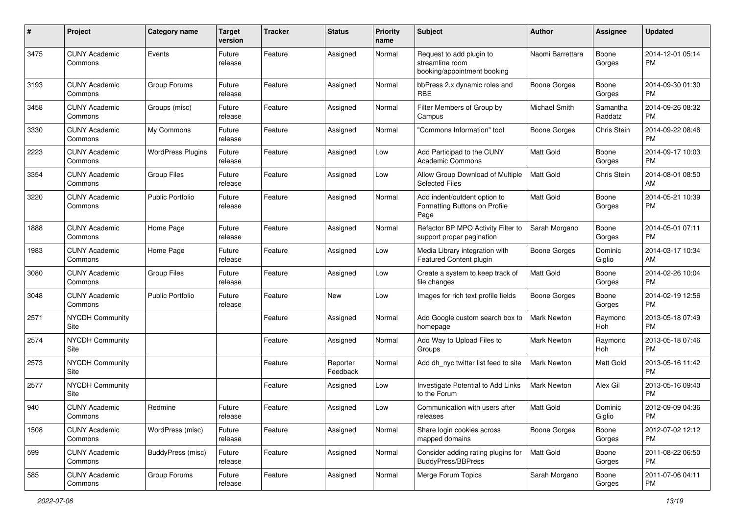| #    | Project                         | <b>Category name</b>     | <b>Target</b><br>version | <b>Tracker</b> | <b>Status</b>        | Priority<br>name | <b>Subject</b>                                                             | <b>Author</b>       | <b>Assignee</b>     | <b>Updated</b>                |
|------|---------------------------------|--------------------------|--------------------------|----------------|----------------------|------------------|----------------------------------------------------------------------------|---------------------|---------------------|-------------------------------|
| 3475 | <b>CUNY Academic</b><br>Commons | Events                   | Future<br>release        | Feature        | Assigned             | Normal           | Request to add plugin to<br>streamline room<br>booking/appointment booking | Naomi Barrettara    | Boone<br>Gorges     | 2014-12-01 05:14<br><b>PM</b> |
| 3193 | <b>CUNY Academic</b><br>Commons | Group Forums             | Future<br>release        | Feature        | Assigned             | Normal           | bbPress 2.x dynamic roles and<br>RBE                                       | <b>Boone Gorges</b> | Boone<br>Gorges     | 2014-09-30 01:30<br><b>PM</b> |
| 3458 | <b>CUNY Academic</b><br>Commons | Groups (misc)            | Future<br>release        | Feature        | Assigned             | Normal           | Filter Members of Group by<br>Campus                                       | Michael Smith       | Samantha<br>Raddatz | 2014-09-26 08:32<br><b>PM</b> |
| 3330 | <b>CUNY Academic</b><br>Commons | My Commons               | Future<br>release        | Feature        | Assigned             | Normal           | 'Commons Information" tool                                                 | Boone Gorges        | <b>Chris Stein</b>  | 2014-09-22 08:46<br><b>PM</b> |
| 2223 | <b>CUNY Academic</b><br>Commons | <b>WordPress Plugins</b> | Future<br>release        | Feature        | Assigned             | Low              | Add Participad to the CUNY<br><b>Academic Commons</b>                      | <b>Matt Gold</b>    | Boone<br>Gorges     | 2014-09-17 10:03<br><b>PM</b> |
| 3354 | <b>CUNY Academic</b><br>Commons | <b>Group Files</b>       | Future<br>release        | Feature        | Assigned             | Low              | Allow Group Download of Multiple<br><b>Selected Files</b>                  | <b>Matt Gold</b>    | Chris Stein         | 2014-08-01 08:50<br>AM        |
| 3220 | <b>CUNY Academic</b><br>Commons | <b>Public Portfolio</b>  | Future<br>release        | Feature        | Assigned             | Normal           | Add indent/outdent option to<br>Formatting Buttons on Profile<br>Page      | <b>Matt Gold</b>    | Boone<br>Gorges     | 2014-05-21 10:39<br><b>PM</b> |
| 1888 | <b>CUNY Academic</b><br>Commons | Home Page                | Future<br>release        | Feature        | Assigned             | Normal           | Refactor BP MPO Activity Filter to<br>support proper pagination            | Sarah Morgano       | Boone<br>Gorges     | 2014-05-01 07:11<br><b>PM</b> |
| 1983 | <b>CUNY Academic</b><br>Commons | Home Page                | Future<br>release        | Feature        | Assigned             | Low              | Media Library integration with<br>Featured Content plugin                  | <b>Boone Gorges</b> | Dominic<br>Giglio   | 2014-03-17 10:34<br>AM        |
| 3080 | <b>CUNY Academic</b><br>Commons | <b>Group Files</b>       | Future<br>release        | Feature        | Assigned             | Low              | Create a system to keep track of<br>file changes                           | <b>Matt Gold</b>    | Boone<br>Gorges     | 2014-02-26 10:04<br><b>PM</b> |
| 3048 | <b>CUNY Academic</b><br>Commons | <b>Public Portfolio</b>  | Future<br>release        | Feature        | New                  | Low              | Images for rich text profile fields                                        | <b>Boone Gorges</b> | Boone<br>Gorges     | 2014-02-19 12:56<br><b>PM</b> |
| 2571 | <b>NYCDH Community</b><br>Site  |                          |                          | Feature        | Assigned             | Normal           | Add Google custom search box to<br>homepage                                | Mark Newton         | Raymond<br>Hoh      | 2013-05-18 07:49<br><b>PM</b> |
| 2574 | <b>NYCDH Community</b><br>Site  |                          |                          | Feature        | Assigned             | Normal           | Add Way to Upload Files to<br>Groups                                       | Mark Newton         | Raymond<br>Hoh      | 2013-05-18 07:46<br><b>PM</b> |
| 2573 | <b>NYCDH Community</b><br>Site  |                          |                          | Feature        | Reporter<br>Feedback | Normal           | Add dh nyc twitter list feed to site                                       | <b>Mark Newton</b>  | Matt Gold           | 2013-05-16 11:42<br><b>PM</b> |
| 2577 | NYCDH Community<br>Site         |                          |                          | Feature        | Assigned             | Low              | Investigate Potential to Add Links<br>to the Forum                         | Mark Newton         | Alex Gil            | 2013-05-16 09:40<br><b>PM</b> |
| 940  | <b>CUNY Academic</b><br>Commons | Redmine                  | Future<br>release        | Feature        | Assigned             | Low              | Communication with users after<br>releases                                 | Matt Gold           | Dominic<br>Giglio   | 2012-09-09 04:36<br>PM        |
| 1508 | <b>CUNY Academic</b><br>Commons | WordPress (misc)         | Future<br>release        | Feature        | Assigned             | Normal           | Share login cookies across<br>mapped domains                               | <b>Boone Gorges</b> | Boone<br>Gorges     | 2012-07-02 12:12<br>PM        |
| 599  | <b>CUNY Academic</b><br>Commons | BuddyPress (misc)        | Future<br>release        | Feature        | Assigned             | Normal           | Consider adding rating plugins for<br><b>BuddyPress/BBPress</b>            | Matt Gold           | Boone<br>Gorges     | 2011-08-22 06:50<br>PM        |
| 585  | <b>CUNY Academic</b><br>Commons | Group Forums             | Future<br>release        | Feature        | Assigned             | Normal           | Merge Forum Topics                                                         | Sarah Morgano       | Boone<br>Gorges     | 2011-07-06 04:11<br><b>PM</b> |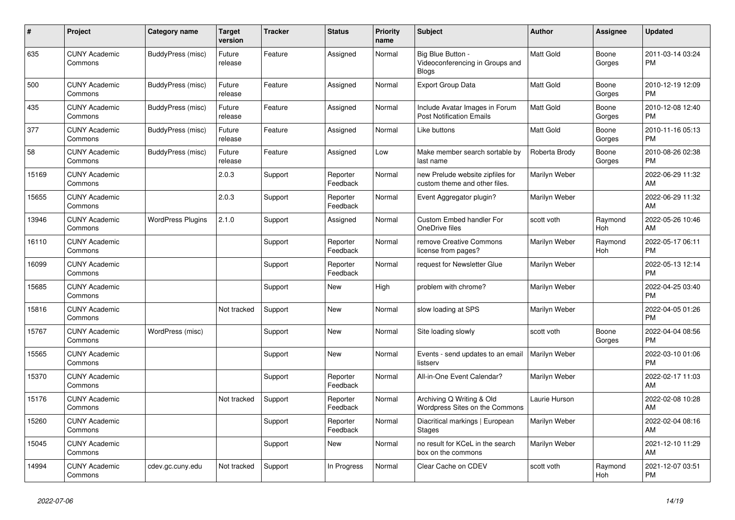| #     | Project                         | <b>Category name</b>     | <b>Target</b><br>version | <b>Tracker</b> | <b>Status</b>        | <b>Priority</b><br>name | <b>Subject</b>                                                       | <b>Author</b>    | Assignee        | <b>Updated</b>                |
|-------|---------------------------------|--------------------------|--------------------------|----------------|----------------------|-------------------------|----------------------------------------------------------------------|------------------|-----------------|-------------------------------|
| 635   | <b>CUNY Academic</b><br>Commons | BuddyPress (misc)        | Future<br>release        | Feature        | Assigned             | Normal                  | Big Blue Button -<br>Videoconferencing in Groups and<br><b>Blogs</b> | <b>Matt Gold</b> | Boone<br>Gorges | 2011-03-14 03:24<br><b>PM</b> |
| 500   | <b>CUNY Academic</b><br>Commons | BuddyPress (misc)        | Future<br>release        | Feature        | Assigned             | Normal                  | <b>Export Group Data</b>                                             | <b>Matt Gold</b> | Boone<br>Gorges | 2010-12-19 12:09<br><b>PM</b> |
| 435   | <b>CUNY Academic</b><br>Commons | BuddyPress (misc)        | Future<br>release        | Feature        | Assigned             | Normal                  | Include Avatar Images in Forum<br><b>Post Notification Emails</b>    | Matt Gold        | Boone<br>Gorges | 2010-12-08 12:40<br><b>PM</b> |
| 377   | <b>CUNY Academic</b><br>Commons | BuddyPress (misc)        | Future<br>release        | Feature        | Assigned             | Normal                  | Like buttons                                                         | Matt Gold        | Boone<br>Gorges | 2010-11-16 05:13<br><b>PM</b> |
| 58    | <b>CUNY Academic</b><br>Commons | BuddyPress (misc)        | Future<br>release        | Feature        | Assigned             | Low                     | Make member search sortable by<br>last name                          | Roberta Brody    | Boone<br>Gorges | 2010-08-26 02:38<br><b>PM</b> |
| 15169 | <b>CUNY Academic</b><br>Commons |                          | 2.0.3                    | Support        | Reporter<br>Feedback | Normal                  | new Prelude website zipfiles for<br>custom theme and other files.    | Marilyn Weber    |                 | 2022-06-29 11:32<br>AM        |
| 15655 | <b>CUNY Academic</b><br>Commons |                          | 2.0.3                    | Support        | Reporter<br>Feedback | Normal                  | Event Aggregator plugin?                                             | Marilyn Weber    |                 | 2022-06-29 11:32<br>AM        |
| 13946 | <b>CUNY Academic</b><br>Commons | <b>WordPress Plugins</b> | 2.1.0                    | Support        | Assigned             | Normal                  | <b>Custom Embed handler For</b><br>OneDrive files                    | scott voth       | Raymond<br>Hoh  | 2022-05-26 10:46<br>AM        |
| 16110 | <b>CUNY Academic</b><br>Commons |                          |                          | Support        | Reporter<br>Feedback | Normal                  | remove Creative Commons<br>license from pages?                       | Marilyn Weber    | Raymond<br>Hoh  | 2022-05-17 06:11<br><b>PM</b> |
| 16099 | <b>CUNY Academic</b><br>Commons |                          |                          | Support        | Reporter<br>Feedback | Normal                  | request for Newsletter Glue                                          | Marilyn Weber    |                 | 2022-05-13 12:14<br><b>PM</b> |
| 15685 | <b>CUNY Academic</b><br>Commons |                          |                          | Support        | New                  | High                    | problem with chrome?                                                 | Marilyn Weber    |                 | 2022-04-25 03:40<br><b>PM</b> |
| 15816 | <b>CUNY Academic</b><br>Commons |                          | Not tracked              | Support        | New                  | Normal                  | slow loading at SPS                                                  | Marilyn Weber    |                 | 2022-04-05 01:26<br><b>PM</b> |
| 15767 | <b>CUNY Academic</b><br>Commons | WordPress (misc)         |                          | Support        | <b>New</b>           | Normal                  | Site loading slowly                                                  | scott voth       | Boone<br>Gorges | 2022-04-04 08:56<br><b>PM</b> |
| 15565 | <b>CUNY Academic</b><br>Commons |                          |                          | Support        | New                  | Normal                  | Events - send updates to an email<br>listserv                        | Marilyn Weber    |                 | 2022-03-10 01:06<br><b>PM</b> |
| 15370 | <b>CUNY Academic</b><br>Commons |                          |                          | Support        | Reporter<br>Feedback | Normal                  | All-in-One Event Calendar?                                           | Marilyn Weber    |                 | 2022-02-17 11:03<br>AM        |
| 15176 | <b>CUNY Academic</b><br>Commons |                          | Not tracked              | Support        | Reporter<br>Feedback | Normal                  | Archiving Q Writing & Old<br>Wordpress Sites on the Commons          | Laurie Hurson    |                 | 2022-02-08 10:28<br>AM        |
| 15260 | <b>CUNY Academic</b><br>Commons |                          |                          | Support        | Reporter<br>Feedback | Normal                  | Diacritical markings   European<br><b>Stages</b>                     | Marilyn Weber    |                 | 2022-02-04 08:16<br>AM        |
| 15045 | <b>CUNY Academic</b><br>Commons |                          |                          | Support        | New                  | Normal                  | no result for KCeL in the search<br>box on the commons               | Marilyn Weber    |                 | 2021-12-10 11:29<br>AM        |
| 14994 | <b>CUNY Academic</b><br>Commons | cdev.gc.cuny.edu         | Not tracked              | Support        | In Progress          | Normal                  | Clear Cache on CDEV                                                  | scott voth       | Raymond<br>Hoh  | 2021-12-07 03:51<br><b>PM</b> |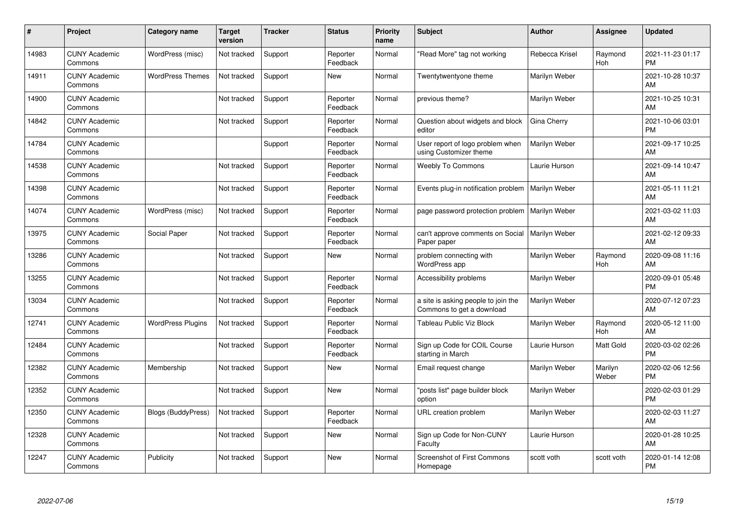| #     | <b>Project</b>                  | <b>Category name</b>     | <b>Target</b><br>version | <b>Tracker</b> | <b>Status</b>        | <b>Priority</b><br>name | <b>Subject</b>                                                   | <b>Author</b>  | Assignee         | <b>Updated</b>                |
|-------|---------------------------------|--------------------------|--------------------------|----------------|----------------------|-------------------------|------------------------------------------------------------------|----------------|------------------|-------------------------------|
| 14983 | <b>CUNY Academic</b><br>Commons | WordPress (misc)         | Not tracked              | Support        | Reporter<br>Feedback | Normal                  | "Read More" tag not working                                      | Rebecca Krisel | Raymond<br>Hoh   | 2021-11-23 01:17<br><b>PM</b> |
| 14911 | <b>CUNY Academic</b><br>Commons | <b>WordPress Themes</b>  | Not tracked              | Support        | New                  | Normal                  | Twentytwentyone theme                                            | Marilyn Weber  |                  | 2021-10-28 10:37<br>AM        |
| 14900 | <b>CUNY Academic</b><br>Commons |                          | Not tracked              | Support        | Reporter<br>Feedback | Normal                  | previous theme?                                                  | Marilyn Weber  |                  | 2021-10-25 10:31<br>AM        |
| 14842 | <b>CUNY Academic</b><br>Commons |                          | Not tracked              | Support        | Reporter<br>Feedback | Normal                  | Question about widgets and block<br>editor                       | Gina Cherry    |                  | 2021-10-06 03:01<br><b>PM</b> |
| 14784 | <b>CUNY Academic</b><br>Commons |                          |                          | Support        | Reporter<br>Feedback | Normal                  | User report of logo problem when<br>using Customizer theme       | Marilyn Weber  |                  | 2021-09-17 10:25<br>AM        |
| 14538 | <b>CUNY Academic</b><br>Commons |                          | Not tracked              | Support        | Reporter<br>Feedback | Normal                  | <b>Weebly To Commons</b>                                         | Laurie Hurson  |                  | 2021-09-14 10:47<br>AM        |
| 14398 | <b>CUNY Academic</b><br>Commons |                          | Not tracked              | Support        | Reporter<br>Feedback | Normal                  | Events plug-in notification problem                              | Marilyn Weber  |                  | 2021-05-11 11:21<br>AM        |
| 14074 | <b>CUNY Academic</b><br>Commons | WordPress (misc)         | Not tracked              | Support        | Reporter<br>Feedback | Normal                  | page password protection problem                                 | Marilyn Weber  |                  | 2021-03-02 11:03<br>AM        |
| 13975 | <b>CUNY Academic</b><br>Commons | Social Paper             | Not tracked              | Support        | Reporter<br>Feedback | Normal                  | can't approve comments on Social<br>Paper paper                  | Marilyn Weber  |                  | 2021-02-12 09:33<br>AM        |
| 13286 | <b>CUNY Academic</b><br>Commons |                          | Not tracked              | Support        | <b>New</b>           | Normal                  | problem connecting with<br>WordPress app                         | Marilyn Weber  | Raymond<br>Hoh   | 2020-09-08 11:16<br>AM        |
| 13255 | <b>CUNY Academic</b><br>Commons |                          | Not tracked              | Support        | Reporter<br>Feedback | Normal                  | Accessibility problems                                           | Marilyn Weber  |                  | 2020-09-01 05:48<br><b>PM</b> |
| 13034 | <b>CUNY Academic</b><br>Commons |                          | Not tracked              | Support        | Reporter<br>Feedback | Normal                  | a site is asking people to join the<br>Commons to get a download | Marilyn Weber  |                  | 2020-07-12 07:23<br>AM        |
| 12741 | <b>CUNY Academic</b><br>Commons | <b>WordPress Plugins</b> | Not tracked              | Support        | Reporter<br>Feedback | Normal                  | Tableau Public Viz Block                                         | Marilyn Weber  | Raymond<br>Hoh   | 2020-05-12 11:00<br>AM        |
| 12484 | <b>CUNY Academic</b><br>Commons |                          | Not tracked              | Support        | Reporter<br>Feedback | Normal                  | Sign up Code for COIL Course<br>starting in March                | Laurie Hurson  | Matt Gold        | 2020-03-02 02:26<br><b>PM</b> |
| 12382 | <b>CUNY Academic</b><br>Commons | Membership               | Not tracked              | Support        | New                  | Normal                  | Email request change                                             | Marilyn Weber  | Marilyn<br>Weber | 2020-02-06 12:56<br><b>PM</b> |
| 12352 | <b>CUNY Academic</b><br>Commons |                          | Not tracked              | Support        | <b>New</b>           | Normal                  | "posts list" page builder block<br>option                        | Marilyn Weber  |                  | 2020-02-03 01:29<br><b>PM</b> |
| 12350 | <b>CUNY Academic</b><br>Commons | Blogs (BuddyPress)       | Not tracked              | Support        | Reporter<br>Feedback | Normal                  | URL creation problem                                             | Marilyn Weber  |                  | 2020-02-03 11:27<br>AM        |
| 12328 | <b>CUNY Academic</b><br>Commons |                          | Not tracked              | Support        | New                  | Normal                  | Sign up Code for Non-CUNY<br>Faculty                             | Laurie Hurson  |                  | 2020-01-28 10:25<br>AM        |
| 12247 | <b>CUNY Academic</b><br>Commons | Publicity                | Not tracked              | Support        | <b>New</b>           | Normal                  | <b>Screenshot of First Commons</b><br>Homepage                   | scott voth     | scott voth       | 2020-01-14 12:08<br><b>PM</b> |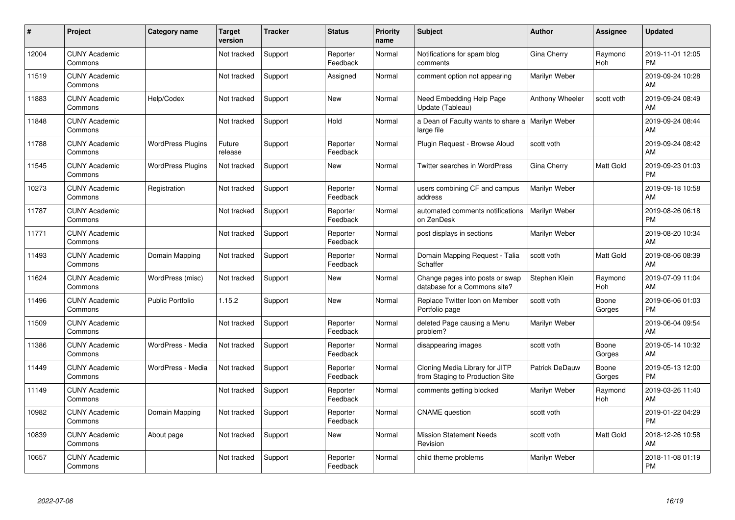| #     | Project                         | Category name            | <b>Target</b><br>version | <b>Tracker</b> | <b>Status</b>        | Priority<br>name | <b>Subject</b>                                                    | <b>Author</b>   | <b>Assignee</b> | <b>Updated</b>                |
|-------|---------------------------------|--------------------------|--------------------------|----------------|----------------------|------------------|-------------------------------------------------------------------|-----------------|-----------------|-------------------------------|
| 12004 | <b>CUNY Academic</b><br>Commons |                          | Not tracked              | Support        | Reporter<br>Feedback | Normal           | Notifications for spam blog<br>comments                           | Gina Cherry     | Raymond<br>Hoh  | 2019-11-01 12:05<br><b>PM</b> |
| 11519 | <b>CUNY Academic</b><br>Commons |                          | Not tracked              | Support        | Assigned             | Normal           | comment option not appearing                                      | Marilyn Weber   |                 | 2019-09-24 10:28<br>AM        |
| 11883 | <b>CUNY Academic</b><br>Commons | Help/Codex               | Not tracked              | Support        | <b>New</b>           | Normal           | Need Embedding Help Page<br>Update (Tableau)                      | Anthony Wheeler | scott voth      | 2019-09-24 08:49<br>AM        |
| 11848 | <b>CUNY Academic</b><br>Commons |                          | Not tracked              | Support        | Hold                 | Normal           | a Dean of Faculty wants to share a   Marilyn Weber<br>large file  |                 |                 | 2019-09-24 08:44<br>AM        |
| 11788 | <b>CUNY Academic</b><br>Commons | <b>WordPress Plugins</b> | Future<br>release        | Support        | Reporter<br>Feedback | Normal           | Plugin Request - Browse Aloud                                     | scott voth      |                 | 2019-09-24 08:42<br>AM        |
| 11545 | <b>CUNY Academic</b><br>Commons | <b>WordPress Plugins</b> | Not tracked              | Support        | <b>New</b>           | Normal           | Twitter searches in WordPress                                     | Gina Cherry     | Matt Gold       | 2019-09-23 01:03<br><b>PM</b> |
| 10273 | <b>CUNY Academic</b><br>Commons | Registration             | Not tracked              | Support        | Reporter<br>Feedback | Normal           | users combining CF and campus<br>address                          | Marilyn Weber   |                 | 2019-09-18 10:58<br>AM        |
| 11787 | <b>CUNY Academic</b><br>Commons |                          | Not tracked              | Support        | Reporter<br>Feedback | Normal           | automated comments notifications<br>on ZenDesk                    | Marilyn Weber   |                 | 2019-08-26 06:18<br><b>PM</b> |
| 11771 | <b>CUNY Academic</b><br>Commons |                          | Not tracked              | Support        | Reporter<br>Feedback | Normal           | post displays in sections                                         | Marilyn Weber   |                 | 2019-08-20 10:34<br>AM        |
| 11493 | <b>CUNY Academic</b><br>Commons | Domain Mapping           | Not tracked              | Support        | Reporter<br>Feedback | Normal           | Domain Mapping Request - Talia<br>Schaffer                        | scott voth      | Matt Gold       | 2019-08-06 08:39<br>AM        |
| 11624 | <b>CUNY Academic</b><br>Commons | WordPress (misc)         | Not tracked              | Support        | New                  | Normal           | Change pages into posts or swap<br>database for a Commons site?   | Stephen Klein   | Raymond<br>Hoh  | 2019-07-09 11:04<br>AM        |
| 11496 | <b>CUNY Academic</b><br>Commons | <b>Public Portfolio</b>  | 1.15.2                   | Support        | New                  | Normal           | Replace Twitter Icon on Member<br>Portfolio page                  | scott voth      | Boone<br>Gorges | 2019-06-06 01:03<br><b>PM</b> |
| 11509 | <b>CUNY Academic</b><br>Commons |                          | Not tracked              | Support        | Reporter<br>Feedback | Normal           | deleted Page causing a Menu<br>problem?                           | Marilyn Weber   |                 | 2019-06-04 09:54<br>AM        |
| 11386 | <b>CUNY Academic</b><br>Commons | WordPress - Media        | Not tracked              | Support        | Reporter<br>Feedback | Normal           | disappearing images                                               | scott voth      | Boone<br>Gorges | 2019-05-14 10:32<br>AM        |
| 11449 | <b>CUNY Academic</b><br>Commons | WordPress - Media        | Not tracked              | Support        | Reporter<br>Feedback | Normal           | Cloning Media Library for JITP<br>from Staging to Production Site | Patrick DeDauw  | Boone<br>Gorges | 2019-05-13 12:00<br><b>PM</b> |
| 11149 | <b>CUNY Academic</b><br>Commons |                          | Not tracked              | Support        | Reporter<br>Feedback | Normal           | comments getting blocked                                          | Marilyn Weber   | Raymond<br>Hoh  | 2019-03-26 11:40<br>AM        |
| 10982 | <b>CUNY Academic</b><br>Commons | Domain Mapping           | Not tracked              | Support        | Reporter<br>Feedback | Normal           | <b>CNAME</b> question                                             | scott voth      |                 | 2019-01-22 04:29<br><b>PM</b> |
| 10839 | <b>CUNY Academic</b><br>Commons | About page               | Not tracked              | Support        | New                  | Normal           | <b>Mission Statement Needs</b><br>Revision                        | scott voth      | Matt Gold       | 2018-12-26 10:58<br>AM        |
| 10657 | <b>CUNY Academic</b><br>Commons |                          | Not tracked              | Support        | Reporter<br>Feedback | Normal           | child theme problems                                              | Marilyn Weber   |                 | 2018-11-08 01:19<br><b>PM</b> |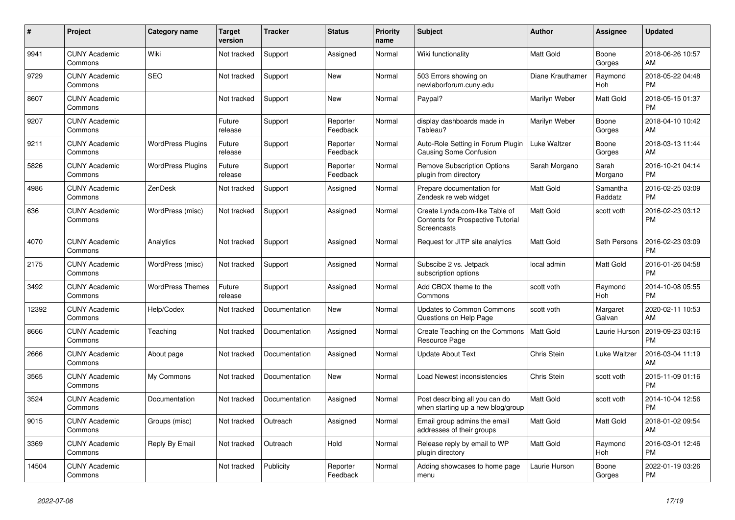| #     | Project                         | <b>Category name</b>     | <b>Target</b><br>version | <b>Tracker</b> | <b>Status</b>        | <b>Priority</b><br>name | <b>Subject</b>                                                                                   | <b>Author</b>    | Assignee            | <b>Updated</b>                |
|-------|---------------------------------|--------------------------|--------------------------|----------------|----------------------|-------------------------|--------------------------------------------------------------------------------------------------|------------------|---------------------|-------------------------------|
| 9941  | <b>CUNY Academic</b><br>Commons | Wiki                     | Not tracked              | Support        | Assigned             | Normal                  | Wiki functionality                                                                               | <b>Matt Gold</b> | Boone<br>Gorges     | 2018-06-26 10:57<br>AM        |
| 9729  | <b>CUNY Academic</b><br>Commons | <b>SEO</b>               | Not tracked              | Support        | New                  | Normal                  | 503 Errors showing on<br>newlaborforum.cuny.edu                                                  | Diane Krauthamer | Raymond<br>Hoh      | 2018-05-22 04:48<br><b>PM</b> |
| 8607  | <b>CUNY Academic</b><br>Commons |                          | Not tracked              | Support        | <b>New</b>           | Normal                  | Paypal?                                                                                          | Marilyn Weber    | Matt Gold           | 2018-05-15 01:37<br><b>PM</b> |
| 9207  | <b>CUNY Academic</b><br>Commons |                          | Future<br>release        | Support        | Reporter<br>Feedback | Normal                  | display dashboards made in<br>Tableau?                                                           | Marilyn Weber    | Boone<br>Gorges     | 2018-04-10 10:42<br>AM        |
| 9211  | <b>CUNY Academic</b><br>Commons | <b>WordPress Plugins</b> | Future<br>release        | Support        | Reporter<br>Feedback | Normal                  | Auto-Role Setting in Forum Plugin<br>Causing Some Confusion                                      | Luke Waltzer     | Boone<br>Gorges     | 2018-03-13 11:44<br>AM        |
| 5826  | <b>CUNY Academic</b><br>Commons | <b>WordPress Plugins</b> | Future<br>release        | Support        | Reporter<br>Feedback | Normal                  | <b>Remove Subscription Options</b><br>plugin from directory                                      | Sarah Morgano    | Sarah<br>Morgano    | 2016-10-21 04:14<br><b>PM</b> |
| 4986  | <b>CUNY Academic</b><br>Commons | ZenDesk                  | Not tracked              | Support        | Assigned             | Normal                  | Prepare documentation for<br>Zendesk re web widget                                               | <b>Matt Gold</b> | Samantha<br>Raddatz | 2016-02-25 03:09<br><b>PM</b> |
| 636   | <b>CUNY Academic</b><br>Commons | WordPress (misc)         | Not tracked              | Support        | Assigned             | Normal                  | Create Lynda.com-like Table of<br><b>Contents for Prospective Tutorial</b><br><b>Screencasts</b> | <b>Matt Gold</b> | scott voth          | 2016-02-23 03:12<br>PM        |
| 4070  | <b>CUNY Academic</b><br>Commons | Analytics                | Not tracked              | Support        | Assigned             | Normal                  | Request for JITP site analytics                                                                  | <b>Matt Gold</b> | Seth Persons        | 2016-02-23 03:09<br><b>PM</b> |
| 2175  | <b>CUNY Academic</b><br>Commons | WordPress (misc)         | Not tracked              | Support        | Assigned             | Normal                  | Subscibe 2 vs. Jetpack<br>subscription options                                                   | local admin      | Matt Gold           | 2016-01-26 04:58<br><b>PM</b> |
| 3492  | <b>CUNY Academic</b><br>Commons | <b>WordPress Themes</b>  | Future<br>release        | Support        | Assigned             | Normal                  | Add CBOX theme to the<br>Commons                                                                 | scott voth       | Raymond<br>Hoh      | 2014-10-08 05:55<br><b>PM</b> |
| 12392 | <b>CUNY Academic</b><br>Commons | Help/Codex               | Not tracked              | Documentation  | New                  | Normal                  | <b>Updates to Common Commons</b><br>Questions on Help Page                                       | scott voth       | Margaret<br>Galvan  | 2020-02-11 10:53<br>AM        |
| 8666  | <b>CUNY Academic</b><br>Commons | Teaching                 | Not tracked              | Documentation  | Assigned             | Normal                  | Create Teaching on the Commons<br>Resource Page                                                  | <b>Matt Gold</b> | Laurie Hurson       | 2019-09-23 03:16<br><b>PM</b> |
| 2666  | <b>CUNY Academic</b><br>Commons | About page               | Not tracked              | Documentation  | Assigned             | Normal                  | <b>Update About Text</b>                                                                         | Chris Stein      | Luke Waltzer        | 2016-03-04 11:19<br>AM        |
| 3565  | <b>CUNY Academic</b><br>Commons | My Commons               | Not tracked              | Documentation  | New                  | Normal                  | Load Newest inconsistencies                                                                      | Chris Stein      | scott voth          | 2015-11-09 01:16<br><b>PM</b> |
| 3524  | <b>CUNY Academic</b><br>Commons | Documentation            | Not tracked              | Documentation  | Assigned             | Normal                  | Post describing all you can do<br>when starting up a new blog/group                              | <b>Matt Gold</b> | scott voth          | 2014-10-04 12:56<br><b>PM</b> |
| 9015  | <b>CUNY Academic</b><br>Commons | Groups (misc)            | Not tracked              | Outreach       | Assigned             | Normal                  | Email group admins the email<br>addresses of their groups                                        | <b>Matt Gold</b> | Matt Gold           | 2018-01-02 09:54<br>AM        |
| 3369  | <b>CUNY Academic</b><br>Commons | Reply By Email           | Not tracked              | Outreach       | Hold                 | Normal                  | Release reply by email to WP<br>plugin directory                                                 | <b>Matt Gold</b> | Raymond<br>Hoh      | 2016-03-01 12:46<br><b>PM</b> |
| 14504 | <b>CUNY Academic</b><br>Commons |                          | Not tracked              | Publicity      | Reporter<br>Feedback | Normal                  | Adding showcases to home page<br>menu                                                            | Laurie Hurson    | Boone<br>Gorges     | 2022-01-19 03:26<br><b>PM</b> |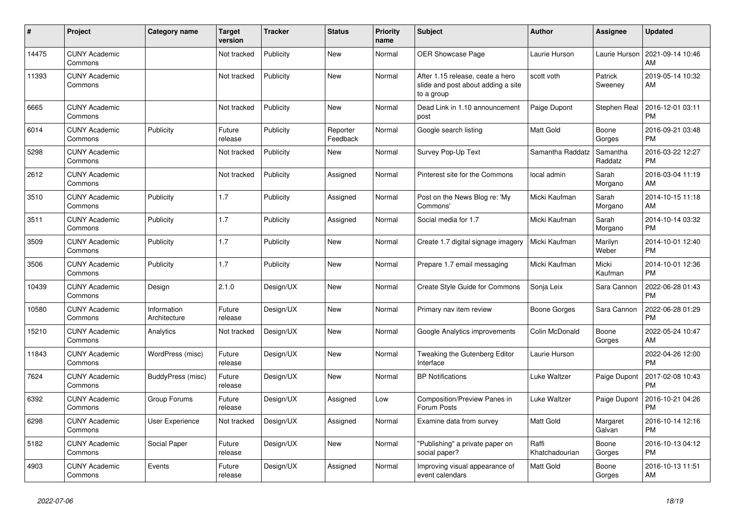| #     | <b>Project</b>                  | Category name               | <b>Target</b><br>version | <b>Tracker</b> | <b>Status</b>        | Priority<br>name | <b>Subject</b>                                                                       | <b>Author</b>           | Assignee            | <b>Updated</b>                |
|-------|---------------------------------|-----------------------------|--------------------------|----------------|----------------------|------------------|--------------------------------------------------------------------------------------|-------------------------|---------------------|-------------------------------|
| 14475 | <b>CUNY Academic</b><br>Commons |                             | Not tracked              | Publicity      | New                  | Normal           | <b>OER Showcase Page</b>                                                             | Laurie Hurson           | Laurie Hurson       | 2021-09-14 10:46<br>AM        |
| 11393 | <b>CUNY Academic</b><br>Commons |                             | Not tracked              | Publicity      | New                  | Normal           | After 1.15 release, ceate a hero<br>slide and post about adding a site<br>to a group | scott voth              | Patrick<br>Sweeney  | 2019-05-14 10:32<br>AM        |
| 6665  | <b>CUNY Academic</b><br>Commons |                             | Not tracked              | Publicity      | <b>New</b>           | Normal           | Dead Link in 1.10 announcement<br>post                                               | Paige Dupont            | Stephen Real        | 2016-12-01 03:11<br><b>PM</b> |
| 6014  | <b>CUNY Academic</b><br>Commons | Publicity                   | Future<br>release        | Publicity      | Reporter<br>Feedback | Normal           | Google search listing                                                                | <b>Matt Gold</b>        | Boone<br>Gorges     | 2016-09-21 03:48<br><b>PM</b> |
| 5298  | <b>CUNY Academic</b><br>Commons |                             | Not tracked              | Publicity      | New                  | Normal           | Survey Pop-Up Text                                                                   | Samantha Raddatz        | Samantha<br>Raddatz | 2016-03-22 12:27<br><b>PM</b> |
| 2612  | <b>CUNY Academic</b><br>Commons |                             | Not tracked              | Publicity      | Assigned             | Normal           | Pinterest site for the Commons                                                       | local admin             | Sarah<br>Morgano    | 2016-03-04 11:19<br>AM        |
| 3510  | <b>CUNY Academic</b><br>Commons | Publicity                   | 1.7                      | Publicity      | Assigned             | Normal           | Post on the News Blog re: 'My<br>Commons'                                            | Micki Kaufman           | Sarah<br>Morgano    | 2014-10-15 11:18<br>AM        |
| 3511  | <b>CUNY Academic</b><br>Commons | Publicity                   | 1.7                      | Publicity      | Assigned             | Normal           | Social media for 1.7                                                                 | Micki Kaufman           | Sarah<br>Morgano    | 2014-10-14 03:32<br><b>PM</b> |
| 3509  | <b>CUNY Academic</b><br>Commons | Publicity                   | 1.7                      | Publicity      | <b>New</b>           | Normal           | Create 1.7 digital signage imagery                                                   | Micki Kaufman           | Marilyn<br>Weber    | 2014-10-01 12:40<br><b>PM</b> |
| 3506  | <b>CUNY Academic</b><br>Commons | Publicity                   | 1.7                      | Publicity      | New                  | Normal           | Prepare 1.7 email messaging                                                          | Micki Kaufman           | Micki<br>Kaufman    | 2014-10-01 12:36<br><b>PM</b> |
| 10439 | <b>CUNY Academic</b><br>Commons | Design                      | 2.1.0                    | Design/UX      | New                  | Normal           | Create Style Guide for Commons                                                       | Sonja Leix              | Sara Cannon         | 2022-06-28 01:43<br><b>PM</b> |
| 10580 | <b>CUNY Academic</b><br>Commons | Information<br>Architecture | Future<br>release        | Design/UX      | <b>New</b>           | Normal           | Primary nav item review                                                              | Boone Gorges            | Sara Cannon         | 2022-06-28 01:29<br><b>PM</b> |
| 15210 | <b>CUNY Academic</b><br>Commons | Analytics                   | Not tracked              | Design/UX      | <b>New</b>           | Normal           | Google Analytics improvements                                                        | Colin McDonald          | Boone<br>Gorges     | 2022-05-24 10:47<br>AM        |
| 11843 | <b>CUNY Academic</b><br>Commons | WordPress (misc)            | Future<br>release        | Design/UX      | New                  | Normal           | Tweaking the Gutenberg Editor<br>Interface                                           | Laurie Hurson           |                     | 2022-04-26 12:00<br><b>PM</b> |
| 7624  | <b>CUNY Academic</b><br>Commons | BuddyPress (misc)           | Future<br>release        | Design/UX      | <b>New</b>           | Normal           | <b>BP Notifications</b>                                                              | Luke Waltzer            | Paige Dupont        | 2017-02-08 10:43<br><b>PM</b> |
| 6392  | <b>CUNY Academic</b><br>Commons | Group Forums                | Future<br>release        | Design/UX      | Assigned             | Low              | Composition/Preview Panes in<br>Forum Posts                                          | Luke Waltzer            | Paige Dupont        | 2016-10-21 04:26<br><b>PM</b> |
| 6298  | <b>CUNY Academic</b><br>Commons | User Experience             | Not tracked              | Design/UX      | Assigned             | Normal           | Examine data from survey                                                             | <b>Matt Gold</b>        | Margaret<br>Galvan  | 2016-10-14 12:16<br><b>PM</b> |
| 5182  | <b>CUNY Academic</b><br>Commons | Social Paper                | Future<br>release        | Design/UX      | New                  | Normal           | "Publishing" a private paper on<br>social paper?                                     | Raffi<br>Khatchadourian | Boone<br>Gorges     | 2016-10-13 04:12<br><b>PM</b> |
| 4903  | <b>CUNY Academic</b><br>Commons | Events                      | Future<br>release        | Design/UX      | Assigned             | Normal           | Improving visual appearance of<br>event calendars                                    | <b>Matt Gold</b>        | Boone<br>Gorges     | 2016-10-13 11:51<br>AM        |